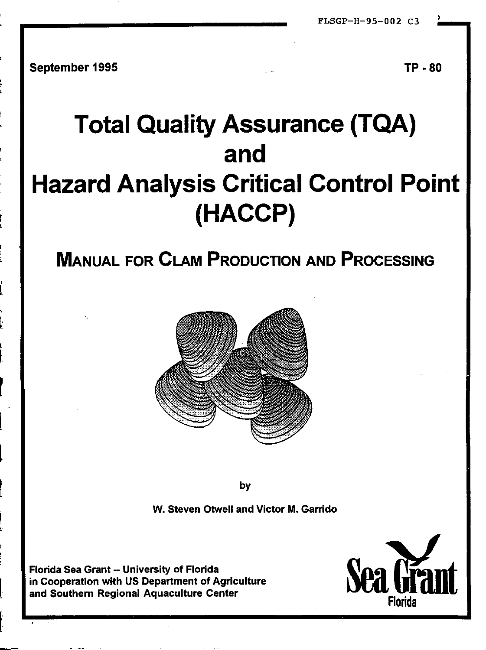FLSGP-H-95-002 C3

September 1995

TP - 80

# **Total Quality Assurance (TQA)** and **Hazard Analysis Critical Control Point** (HACCP)

## **MANUAL FOR CLAM PRODUCTION AND PROCESSING**



by

W. Steven Otwell and Victor M. Garrido

Florida Sea Grant -- University of Florida in Cooperation with US Department of Agriculture and Southern Regional Aquaculture Center

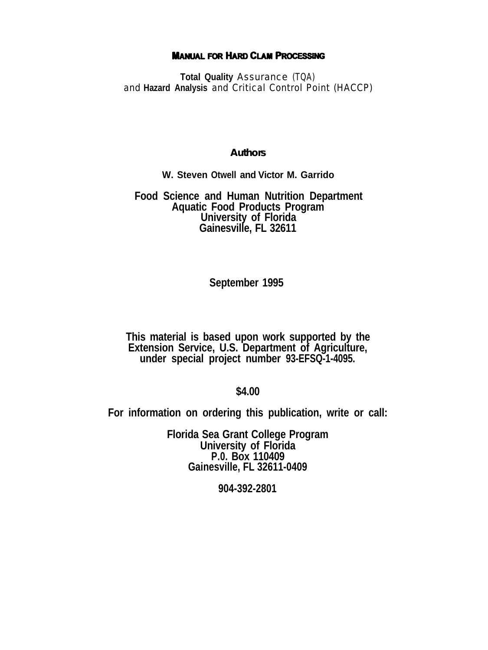#### **MANUAL FOR HARD CLAM PROCESSING**

**Total Quality** Assurance (TQA) and **Hazard Analysis** and Critical Control Point (HACCP)

#### **Authors**

#### **W. Steven Otwell and Victor M. Garrido**

## **Food Science and Human Nutrition Department Aquatic Food Products Program University of Florida Gainesville, FL 32611**

#### **September 1995**

**This material is based upon work supported by the Extension Service, U.S. Department of Agriculture, under special project number 93-EFSQ-1-4095.**

#### **\$4.00**

**For information on ordering this publication, write or call:**

**Florida Sea Grant College Program University of Florida P.0. Box 110409 Gainesville, FL 32611-0409**

**904-392-2801**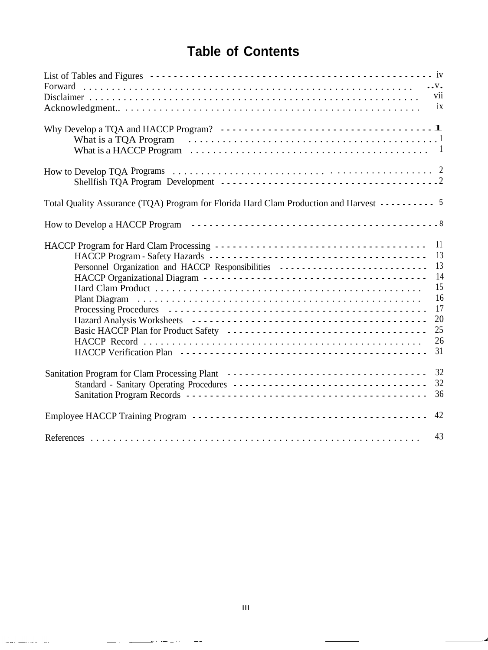## **Table of Contents**

| vii                                                                                                      |  |
|----------------------------------------------------------------------------------------------------------|--|
| ix                                                                                                       |  |
|                                                                                                          |  |
|                                                                                                          |  |
|                                                                                                          |  |
|                                                                                                          |  |
|                                                                                                          |  |
|                                                                                                          |  |
|                                                                                                          |  |
| Total Quality Assurance (TQA) Program for Florida Hard Clam Production and Harvest - - - - - - - - - - 5 |  |
|                                                                                                          |  |
| 11                                                                                                       |  |
| 13                                                                                                       |  |
| 13<br>Personnel Organization and HACCP Responsibilities                                                  |  |
| 14                                                                                                       |  |
| 15                                                                                                       |  |
| 16                                                                                                       |  |
| 17                                                                                                       |  |
| 20                                                                                                       |  |
| 25                                                                                                       |  |
| 26                                                                                                       |  |
| 31                                                                                                       |  |
|                                                                                                          |  |
| 32                                                                                                       |  |
| 32<br>Standard - Sanitary Operating Procedures -----------------------------------                       |  |
| 36                                                                                                       |  |
| 42                                                                                                       |  |
| 43                                                                                                       |  |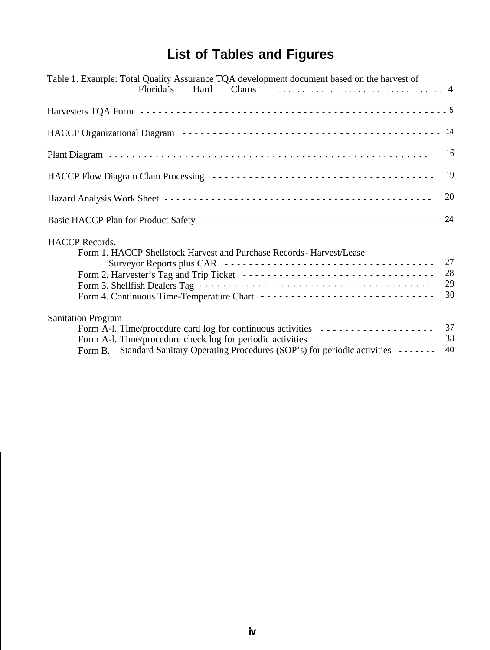## **List of Tables and Figures**

| Table 1. Example: Total Quality Assurance TQA development document based on the harvest of                                                                                                                                                                                           |                |
|--------------------------------------------------------------------------------------------------------------------------------------------------------------------------------------------------------------------------------------------------------------------------------------|----------------|
|                                                                                                                                                                                                                                                                                      |                |
|                                                                                                                                                                                                                                                                                      |                |
|                                                                                                                                                                                                                                                                                      | 16             |
|                                                                                                                                                                                                                                                                                      | 19             |
|                                                                                                                                                                                                                                                                                      | 20             |
|                                                                                                                                                                                                                                                                                      |                |
| <b>HACCP</b> Records.<br>Form 1. HACCP Shellstock Harvest and Purchase Records - Harvest/Lease<br>Form 2. Harvester's Tag and Trip Ticket -------------------------------- 28<br>Form 4. Continuous Time-Temperature Chart -------------------------------                           | 27<br>29<br>30 |
| <b>Sanitation Program</b><br>Form A-1. Time/procedure card log for continuous activities _____________________<br>Form A-l. Time/procedure check log for periodic activities _____________________<br>Form B. Standard Sanitary Operating Procedures (SOP's) for periodic activities | 37<br>38<br>40 |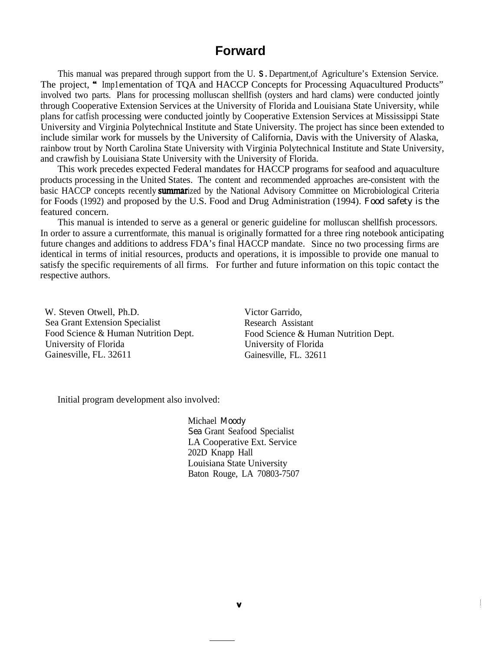## **Forward**

This manual was prepared through support from the U. S. Department, of Agriculture's Extension Service. The project, "Imp1ementation of TOA and HACCP Concepts for Processing Aquacultured Products" involved two parts. Plans for processing molluscan shellfish (oysters and hard clams) were conducted jointly through Cooperative Extension Services at the University of Florida and Louisiana State University, while plans for catfish processing were conducted jointly by Cooperative Extension Services at Mississippi State University and Virginia Polytechnical Institute and State University. The project has since been extended to include similar work for mussels by the University of California, Davis with the University of Alaska, rainbow trout by North Carolina State University with Virginia Polytechnical Institute and State University, and crawfish by Louisiana State University with the University of Florida.

This work precedes expected Federal mandates for HACCP programs for seafood and aquaculture products processing in the United States. The content and recommended approaches are-consistent with the basic HACCP concepts recently **summar**ized by the National Advisory Committee on Microbiological Criteria for Foods (1992) and proposed by the U.S. Food and Drug Administration (1994). Food safety is the featured concern.

This manual is intended to serve as a general or generic guideline for molluscan shellfish processors. In order to assure a currentformate, this manual is originally formatted for a three ring notebook anticipating future changes and additions to address FDA's final HACCP mandate. Since no two processing firms are identical in terms of initial resources, products and operations, it is impossible to provide one manual to satisfy the specific requirements of all firms. For further and future information on this topic contact the respective authors.

W. Steven Otwell, Ph.D. Victor Garrido, Sea Grant Extension Specialist Research Assistant University of Florida University of Florida Gainesville, FL. 32611 Gainesville, FL. 32611

Food Science & Human Nutrition Dept. Food Science & Human Nutrition Dept.

Initial program development also involved:

Michael Moody Sea Grant Seafood Specialist LA Cooperative Ext. Service 202D Knapp Hall Louisiana State University Baton Rouge, LA 70803-7507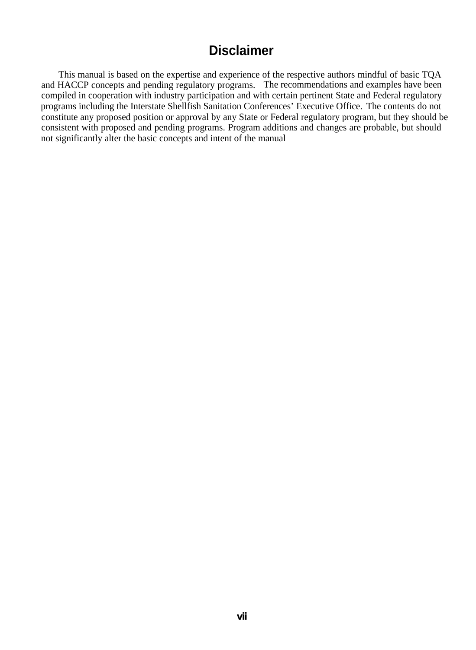## **Disclaimer**

This manual is based on the expertise and experience of the respective authors mindful of basic TQA and HACCP concepts and pending regulatory programs. The recommendations and examples have been compiled in cooperation with industry participation and with certain pertinent State and Federal regulatory programs including the Interstate Shellfish Sanitation Conferences' Executive Office. The contents do not constitute any proposed position or approval by any State or Federal regulatory program, but they should be consistent with proposed and pending programs. Program additions and changes are probable, but should not significantly alter the basic concepts and intent of the manual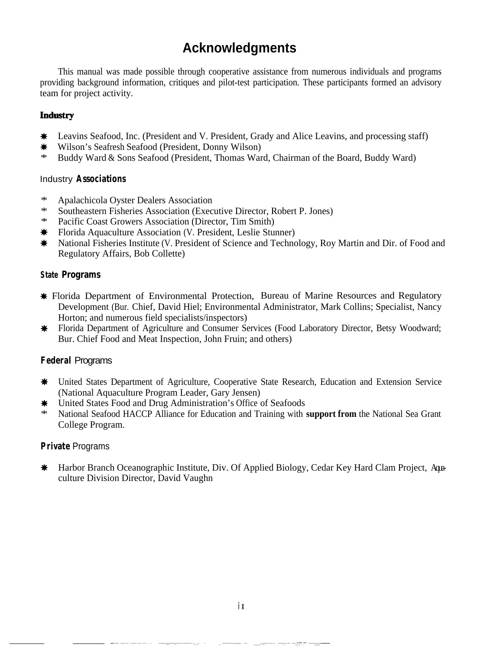## **Acknowledgments**

This manual was made possible through cooperative assistance from numerous individuals and programs providing background information, critiques and pilot-test participation. These participants formed an advisory team for project activity.

#### Industry

- \* Leavins Seafood, Inc. (President and V. President, Grady and Alice Leavins, and processing staff)<br>★ Wilson's Seafresh Seafood (President, Donny Wilson)
- Wilson's Seafresh Seafood (President, Donny Wilson)
- \* Buddy Ward & Sons Seafood (President, Thomas Ward, Chairman of the Board, Buddy Ward)

#### Industry **Associations**

- \* Apalachicola Oyster Dealers Association
- \* Southeastern Fisheries Association (Executive Director, Robert P. Jones)
- Pacific Coast Growers Association (Director, Tim Smith)
- <p>★</p>\n<p>Florida Aquaculture Association (V. President, Leslie Stunner)</p>\n<p>★</p>\n<p>National Fisheries Institute (V. President of Science and Techno</p>
- National Fisheries Institute (V. President of Science and Technology, Roy Martin and Dir. of Food and Regulatory Affairs, Bob Collette)

#### **State Programs**

- \* Florida Department of Environmental Protection, Bureau of Marine Resources and Regulatory Development (Bur. Chief, David Hiel; Environmental Administrator, Mark Collins; Specialist, Nancy Horton; and numerous field specialists/inspectors)
- \* Florida Department of Agriculture and Consumer Services (Food Laboratory Director, Betsy Woodward; Bur. Chief Food and Meat Inspection, John Fruin; and others)

#### **Federal** Programs

- \* United States Department of Agriculture, Cooperative State Research, Education and Extension Service (National Aquaculture Program Leader, Gary Jensen)
- $★$  United States Food and Drug Administration's Office of Seafoods<br>  $\frac{1}{100}$  National Seafood HACCP Alliance for Education and Training with
- \* National Seafood HACCP Alliance for Education and Training with **support from** the National Sea Grant College Program.

#### **Private** Programs

**\*** Harbor Branch Oceanographic Institute, Div. Of Applied Biology, Cedar Key Hard Clam Project, Aguaculture Division Director, David Vaughn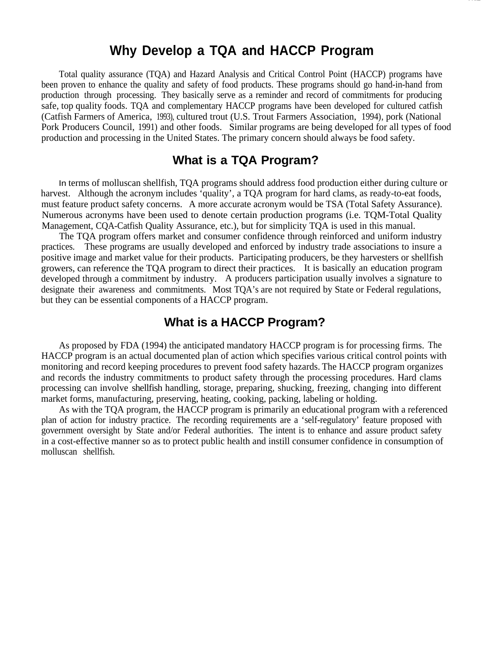## **Why Develop a TQA and HACCP Program**

Total quality assurance (TQA) and Hazard Analysis and Critical Control Point (HACCP) programs have been proven to enhance the quality and safety of food products. These programs should go hand-in-hand from production through processing. They basically serve as a reminder and record of commitments for producing safe, top quality foods. TQA and complementary HACCP programs have been developed for cultured catfish (Catfish Farmers of America, (1993), cultured trout (U.S. Trout Farmers Association, 1994), pork (National Pork Producers Council, 1991) and other foods. Similar programs are being developed for all types of food production and processing in the United States. The primary concern should always be food safety.

### **What is a TQA Program?**

In terms of molluscan shellfish, TQA programs should address food production either during culture or harvest. Although the acronym includes 'quality', a TQA program for hard clams, as ready-to-eat foods, must feature product safety concerns. A more accurate acronym would be TSA (Total Safety Assurance). Numerous acronyms have been used to denote certain production programs (i.e. TQM-Total Quality Management, CQA-Catfish Quality Assurance, etc.), but for simplicity TQA is used in this manual.

The TQA program offers market and consumer confidence through reinforced and uniform industry practices. These programs are usually developed and enforced by industry trade associations to insure a positive image and market value for their products. Participating producers, be they harvesters or shellfish growers, can reference the TQA program to direct their practices. It is basically an education program developed through a commitment by industry. A producers participation usually involves a signature to designate their awareness and commitments. Most TQA's are not required by State or Federal regulations, but they can be essential components of a HACCP program.

## **What is a HACCP Program?**

As proposed by FDA (1994) the anticipated mandatory HACCP program is for processing firms. The HACCP program is an actual documented plan of action which specifies various critical control points with monitoring and record keeping procedures to prevent food safety hazards. The HACCP program organizes and records the industry commitments to product safety through the processing procedures. Hard clams processing can involve shellfish handling, storage, preparing, shucking, freezing, changing into different market forms, manufacturing, preserving, heating, cooking, packing, labeling or holding.

As with the TQA program, the HACCP program is primarily an educational program with a referenced plan of action for industry practice. The recording requirements are a 'self-regulatory' feature proposed with government oversight by State and/or Federal authorities. The intent is to enhance and assure product safety in a cost-effective manner so as to protect public health and instill consumer confidence in consumption of molluscan shellfish.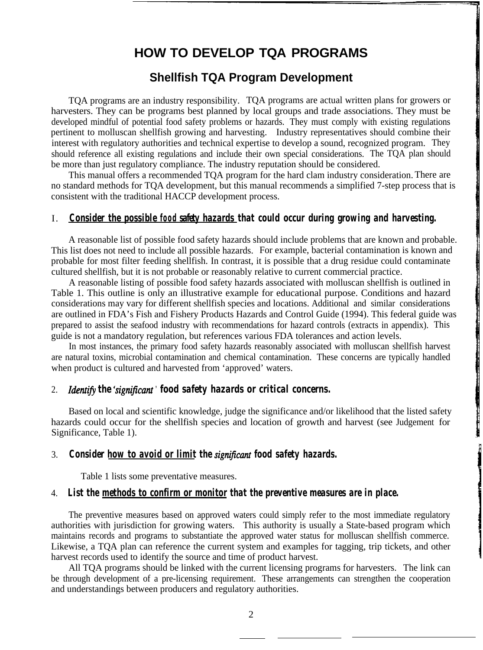## **HOW TO DEVELOP TQA PROGRAMS**

#### **Shellfish TQA Program Development**

TQA programs are an industry responsibility. TQA programs are actual written plans for growers or harvesters. They can be programs best planned by local groups and trade associations. They must be developed mindful of potential food safety problems or hazards. They must comply with existing regulations pertinent to molluscan shellfish growing and harvesting. Industry representatives should combine their interest with regulatory authorities and technical expertise to develop a sound, recognized program. They should reference all existing regulations and include their own special considerations. The TQA plan should be more than just regulatory compliance. The industry reputation should be considered.

This manual offers a recommended TQA program for the hard clam industry consideration.There are no standard methods for TQA development, but this manual recommends a simplified 7-step process that is consistent with the traditional HACCP development process.

#### I. *Consider the possible food safety hazards that could occur during growing and harvesting.*

A reasonable list of possible food safety hazards should include problems that are known and probable. This list does not need to include all possible hazards. For example, bacterial contamination is known and probable for most filter feeding shellfish. In contrast, it is possible that a drug residue could contaminate cultured shellfish, but it is not probable or reasonably relative to current commercial practice.

A reasonable listing of possible food safety hazards associated with molluscan shellfish is outlined in Table 1. This outline is only an illustrative example for educational purpose. Conditions and hazard considerations may vary for different shellfish species and locations. Additional and similar considerations are outlined in FDA's Fish and Fishery Products Hazards and Control Guide (1994). This federal guide was prepared to assist the seafood industry with recommendations for hazard controls (extracts in appendix). This guide is not a mandatory regulation, but references various FDA tolerances and action levels.

In most instances, the primary food safety hazards reasonably associated with molluscan shellfish harvest are natural toxins, microbial contamination and chemical contamination. These concerns are typically handled when product is cultured and harvested from 'approved' waters.

#### 2. *Identify the 'significant'* food safety hazards or critical concerns.

Based on local and scientific knowledge, judge the significance and/or likelihood that the listed safety hazards could occur for the shellfish species and location of growth and harvest (see Judgement for Significance, Table 1).

#### 3. **Consider how to avoid or limit the** *significant* **food safety hazards.**

Table 1 lists some preventative measures.

#### 4. *List the methods to confirm or monitor that the preventive measures are in place.*

The preventive measures based on approved waters could simply refer to the most immediate regulatory authorities with jurisdiction for growing waters. This authority is usually a State-based program which maintains records and programs to substantiate the approved water status for molluscan shellfish commerce. Likewise, a TQA plan can reference the current system and examples for tagging, trip tickets, and other harvest records used to identify the source and time of product harvest.

All TQA programs should be linked with the current licensing programs for harvesters. The link can be through development of a pre-licensing requirement. These arrangements can strengthen the cooperation and understandings between producers and regulatory authorities.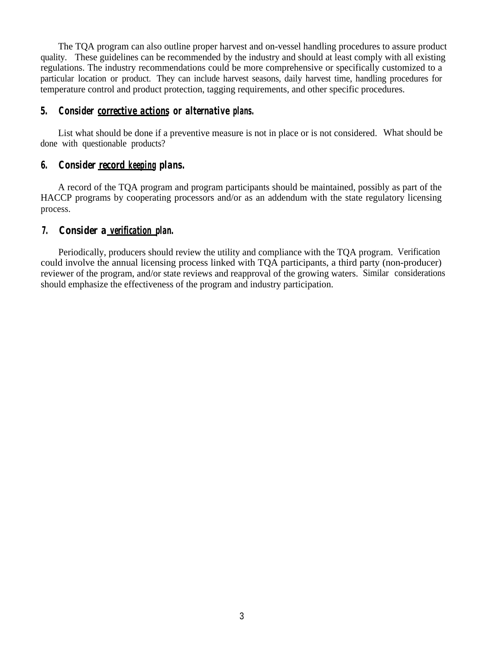The TQA program can also outline proper harvest and on-vessel handling procedures to assure product quality. These guidelines can be recommended by the industry and should at least comply with all existing regulations. The industry recommendations could be more comprehensive or specifically customized to a particular location or product. They can include harvest seasons, daily harvest time, handling procedures for temperature control and product protection, tagging requirements, and other specific procedures.

#### *5. Consider corrective actions or alternative plans.*

List what should be done if a preventive measure is not in place or is not considered. What should be done with questionable products?

#### *6. Consider record keeping plans.*

A record of the TQA program and program participants should be maintained, possibly as part of the HACCP programs by cooperating processors and/or as an addendum with the state regulatory licensing process.

#### *7. Consider a verification plan.*

Periodically, producers should review the utility and compliance with the TQA program. Verification could involve the annual licensing process linked with TQA participants, a third party (non-producer) reviewer of the program, and/or state reviews and reapproval of the growing waters. Similar considerations should emphasize the effectiveness of the program and industry participation.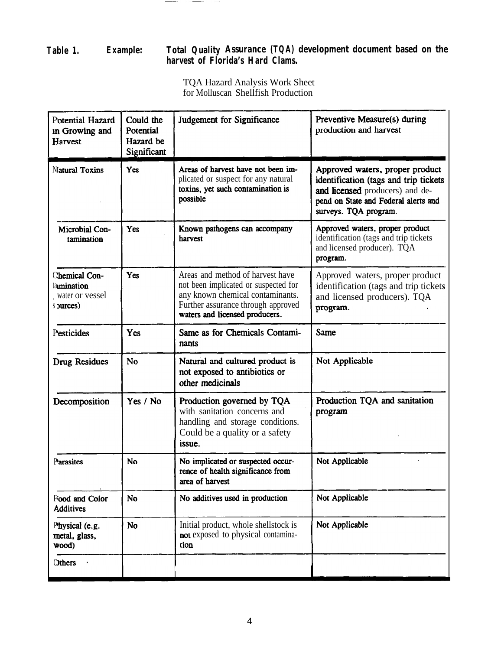#### **Table 1. Example: Total Quality Assurance (TQA) development document based on the harvest of Florida's Hard Clams.**

 $\cdot$   $-$ 

TQA Hazard Analysis Work Sheet for Molluscan Shellfish Production

| Potential Hazard<br>in Growing and<br><b>Harvest</b>        | Could the<br>Potential<br>Hazard be<br>Significant | Judgement for Significance                                                                                                                                                           | Preventive Measure(s) during<br>production and harvest                                                                                                                       |
|-------------------------------------------------------------|----------------------------------------------------|--------------------------------------------------------------------------------------------------------------------------------------------------------------------------------------|------------------------------------------------------------------------------------------------------------------------------------------------------------------------------|
| Natural Toxins                                              | Yes                                                | Areas of harvest have not been im-<br>plicated or suspect for any natural<br>toxins, yet such contamination is<br>possible                                                           | Approved waters, proper product<br>identification (tags and trip tickets<br>and licensed producers) and de-<br>pend on State and Federal alerts and<br>surveys. TQA program. |
| Microbial Con-<br>tamination                                | Yes                                                | Known pathogens can accompany<br>harvest                                                                                                                                             | Approved waters, proper product<br>identification (tags and trip tickets<br>and licensed producer). TQA<br>program.                                                          |
| Chemical Con-<br>tamination<br>water or vessel<br>s purces) | Yes                                                | Areas and method of harvest have<br>not been implicated or suspected for<br>any known chemical contaminants.<br>Further assurance through approved<br>waters and licensed producers. | Approved waters, proper product<br>identification (tags and trip tickets<br>and licensed producers). TQA<br>program.                                                         |
| Pesticides                                                  | Yes                                                | Same as for Chemicals Contami-<br>nants                                                                                                                                              | <b>Same</b>                                                                                                                                                                  |
| Drug Residues                                               | <b>No</b>                                          | Natural and cultured product is<br>not exposed to antibiotics or<br>other medicinals                                                                                                 | Not Applicable                                                                                                                                                               |
| Decomposition                                               | Yes / No                                           | Production governed by TQA<br>with sanitation concerns and<br>handling and storage conditions.<br>Could be a quality or a safety<br>issue.                                           | Production TQA and sanitation<br>program                                                                                                                                     |
| Parasites                                                   | <b>No</b>                                          | No implicated or suspected occur-<br>Not Applicable<br>rence of health significance from<br>area of harvest                                                                          |                                                                                                                                                                              |
| Food and Color<br><b>Additives</b>                          | No                                                 | No additives used in production                                                                                                                                                      | Not Applicable                                                                                                                                                               |
| Physical (e.g.<br>metal, glass,<br>wood)                    | No                                                 | Not Applicable<br>Initial product, whole shellstock is<br>not exposed to physical contamina-<br>tion                                                                                 |                                                                                                                                                                              |
| <b>C</b> thers                                              |                                                    |                                                                                                                                                                                      |                                                                                                                                                                              |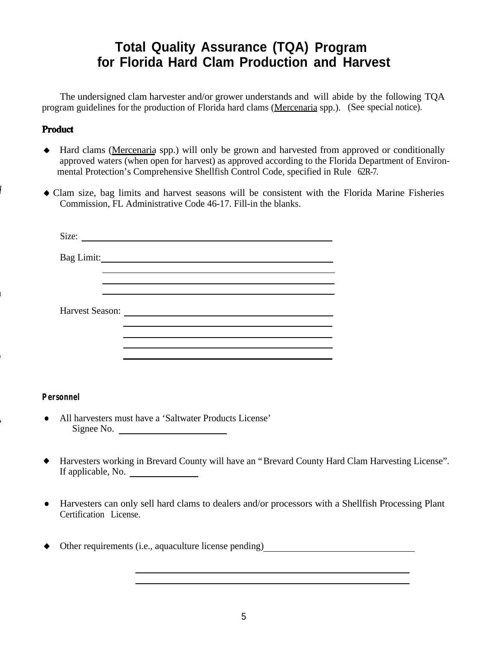## **Total Quality Assurance (TQA) Program for Florida Hard Clam Production and Harvest**

The undersigned clam harvester and/or grower understands and will abide by the following TQA program guidelines for the production of Florida hard clams (Mercenaria spp.). (See special notice).

#### Product

- + Hard clams (Mercenaria spp.) will only be grown and harvested from approved or conditionally approved waters (when open for harvest) as approved according to the Florida Department of Environmental Protection's Comprehensive Shellfish Control Code, specified in Rule 62R-7.
- + Clam size, bag limits and harvest seasons will be consistent with the Florida Marine Fisheries Commission, FL Administrative Code 46-17. Fill-in the blanks.

| Bag Limit:                                                              |  |
|-------------------------------------------------------------------------|--|
|                                                                         |  |
|                                                                         |  |
|                                                                         |  |
| Harvest Season:<br><u> 1980 - Jan Barbara Barbara, maska karatan da</u> |  |
|                                                                         |  |
|                                                                         |  |
|                                                                         |  |

#### **Personnel**

- All harvesters must have a 'Saltwater Products License' Signee No.
- + Harvesters working in Brevard County will have an "Brevard County Hard Clam Harvesting License". If applicable, No.
- Harvesters can only sell hard clams to dealers and/or processors with a Shellfish Processing Plant Certification License.
- ◆ Other requirements (i.e., aquaculture license pending)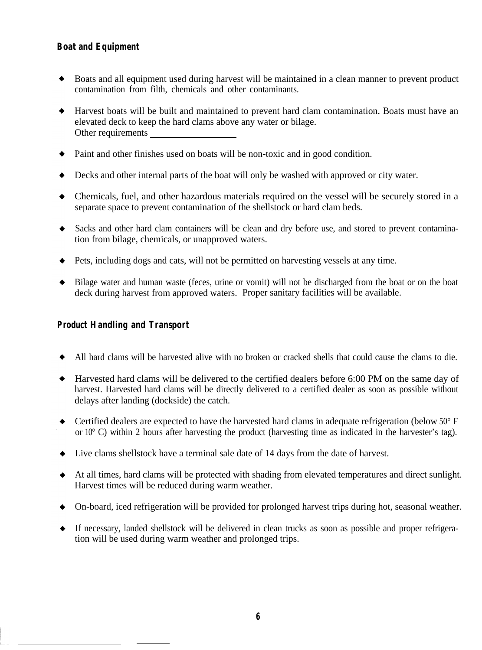#### **Boat and Equipment**

- Boats and all equipment used during harvest will be maintained in a clean manner to prevent product  $\bullet$ contamination from filth, chemicals and other contaminants.
- Harvest boats will be built and maintained to prevent hard clam contamination. Boats must have an elevated deck to keep the hard clams above any water or bilage. Other requirements
- Paint and other finishes used on boats will be non-toxic and in good condition.
- Decks and other internal parts of the boat will only be washed with approved or city water.  $\bullet$
- Chemicals, fuel, and other hazardous materials required on the vessel will be securely stored in a separate space to prevent contamination of the shellstock or hard clam beds.
- $\bullet$ Sacks and other hard clam containers will be clean and dry before use, and stored to prevent contamination from bilage, chemicals, or unapproved waters.
- Pets, including dogs and cats, will not be permitted on harvesting vessels at any time.
- Bilage water and human waste (feces, urine or vomit) will not be discharged from the boat or on the boat deck during harvest from approved waters. Proper sanitary facilities will be available.

#### **Product Handling and Transport**

- All hard clams will be harvested alive with no broken or cracked shells that could cause the clams to die.  $\bullet$
- Harvested hard clams will be delivered to the certified dealers before 6:00 PM on the same day of harvest. Harvested hard clams will be directly delivered to a certified dealer as soon as possible without delays after landing (dockside) the catch.
- Certified dealers are expected to have the harvested hard clams in adequate refrigeration (below 50° F or 10° C) within 2 hours after harvesting the product (harvesting time as indicated in the harvester's tag).
- Live clams shellstock have a terminal sale date of 14 days from the date of harvest.
- At all times, hard clams will be protected with shading from elevated temperatures and direct sunlight. Harvest times will be reduced during warm weather.
- On-board, iced refrigeration will be provided for prolonged harvest trips during hot, seasonal weather.
- If necessary, landed shellstock will be delivered in clean trucks as soon as possible and proper refrigera- $\bullet$ tion will be used during warm weather and prolonged trips.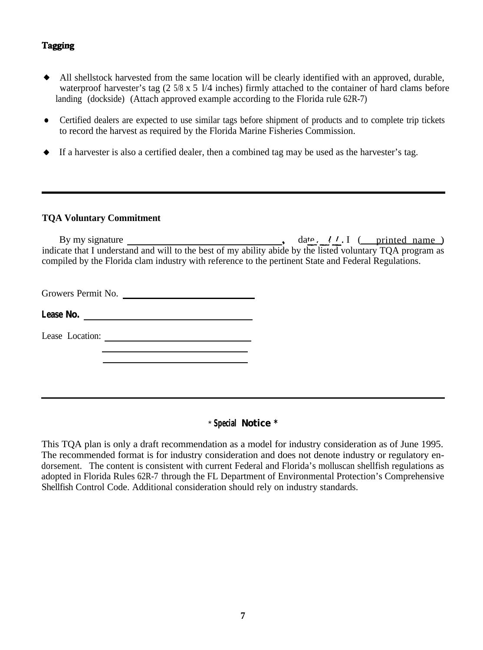#### **Tagging**

- + All shellstock harvested from the same location will be clearly identified with an approved, durable, waterproof harvester's tag (2 5/8 x 5 l/4 inches) firmly attached to the container of hard clams before landing (dockside) (Attach approved example according to the Florida rule 62R-7)
- Certified dealers are expected to use similar tags before shipment of products and to complete trip tickets to record the harvest as required by the Florida Marine Fisheries Commission.
- $\bullet$  If a harvester is also a certified dealer, then a combined tag may be used as the harvester's tag.

#### **TQA Voluntary Commitment**

By my signature , date---./ / I ( printed name ) indicate that I understand and will to the best of my ability abide by the listed voluntary TQA program as compiled by the Florida clam industry with reference to the pertinent State and Federal Regulations.

Growers Permit No.

**Lease No.**

Lease Location:

#### \* **Special Notice \***

This TQA plan is only a draft recommendation as a model for industry consideration as of June 1995. The recommended format is for industry consideration and does not denote industry or regulatory endorsement. The content is consistent with current Federal and Florida's molluscan shellfish regulations as adopted in Florida Rules 62R-7 through the FL Department of Environmental Protection's Comprehensive Shellfish Control Code. Additional consideration should rely on industry standards.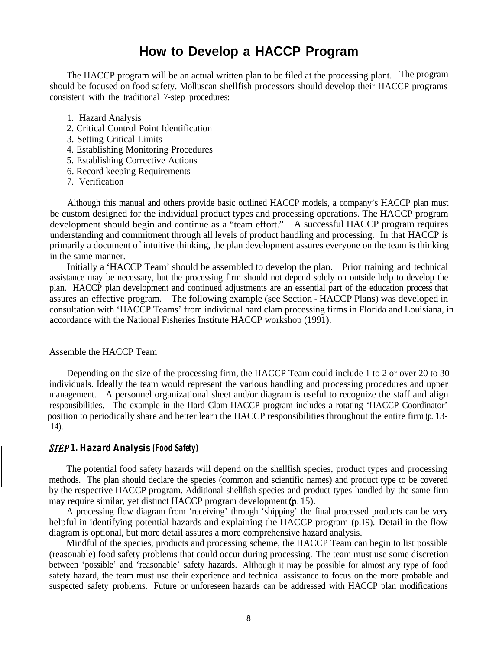## **How to Develop a HACCP Program**

The HACCP program will be an actual written plan to be filed at the processing plant. The program should be focused on food safety. Molluscan shellfish processors should develop their HACCP programs consistent with the traditional 7-step procedures:

- 1. Hazard Analysis
- 2. Critical Control Point Identification
- 3. Setting Critical Limits
- 4. Establishing Monitoring Procedures
- 5. Establishing Corrective Actions
- 6. Record keeping Requirements
- 7. Verification

Although this manual and others provide basic outlined HACCP models, a company's HACCP plan must be custom designed for the individual product types and processing operations. The HACCP program development should begin and continue as a "team effort." A successful HACCP program requires understanding and commitment through all levels of product handling and processing. In that HACCP is primarily a document of intuitive thinking, the plan development assures everyone on the team is thinking in the same manner.

Initially a 'HACCP Team' should be assembled to develop the plan. Prior training and technical assistance may be necessary, but the processing firm should not depend solely on outside help to develop the plan. HACCP plan development and continued adjustments are an essential part of the education process that assures an effective program. The following example (see Section - HACCP Plans) was developed in consultation with 'HACCP Teams' from individual hard clam processing firms in Florida and Louisiana, in accordance with the National Fisheries Institute HACCP workshop (1991).

#### Assemble the HACCP Team

Depending on the size of the processing firm, the HACCP Team could include 1 to 2 or over 20 to 30 individuals. Ideally the team would represent the various handling and processing procedures and upper management. A personnel organizational sheet and/or diagram is useful to recognize the staff and align responsibilities. The example in the Hard Clam HACCP program includes a rotating 'HACCP Coordinator' position to periodically share and better learn the HACCP responsibilities throughout the entire firm (p. 13- 14).

#### *S 1. Hazard Analysis (Food Safety)*

The potential food safety hazards will depend on the shellfish species, product types and processing methods. The plan should declare the species (common and scientific names) and product type to be covered by the respective HACCP program. Additional shellfish species and product types handled by the same firm may require similar, yet distinct HACCP program development  $(p. 15)$ .

A processing flow diagram from 'receiving' through 'shipping' the final processed products can be very helpful in identifying potential hazards and explaining the HACCP program (p.19). Detail in the flow diagram is optional, but more detail assures a more comprehensive hazard analysis.

Mindful of the species, products and processing scheme, the HACCP Team can begin to list possible (reasonable) food safety problems that could occur during processing. The team must use some discretion between 'possible' and 'reasonable' safety hazards. Although it may be possible for almost any type of food safety hazard, the team must use their experience and technical assistance to focus on the more probable and suspected safety problems. Future or unforeseen hazards can be addressed with HACCP plan modifications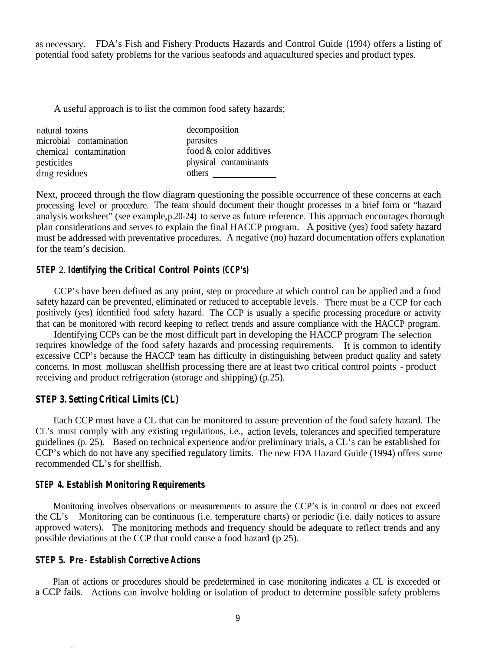as necessary. FDA's Fish and Fishery Products Hazards and Control Guide (1994) offers a listing of potential food safety problems for the various seafoods and aquacultured species and product types.

A useful approach is to list the common food safety hazards;

natural toxins decomposition microbial contamination parasites chemical contamination food & color additives pesticides physical contaminants drug residues others \_

Next, proceed through the flow diagram questioning the possible occurrence of these concerns at each processing level or procedure. The team should document their thought processes in a brief form or "hazard analysis worksheet" (see example, p.20-24) to serve as future reference. This approach encourages thorough plan considerations and serves to explain the final HACCP program. A positive (yes) food safety hazard must be addressed with preventative procedures. A negative (no) hazard documentation offers explanation for the team's decision.

#### *STEP* 2. *Identifying the Critical Control Points (CCP's)*

CCP's have been defined as any point, step or procedure at which control can be applied and a food safety hazard can be prevented, eliminated or reduced to acceptable levels. There must be a CCP for each positively (yes) identified food safety hazard. The CCP is usually a specific processing procedure or activity that can be monitored with record keeping to reflect trends and assure compliance with the HACCP program.

Identifying CCPs can be the most difficult part in developing the HACCP program The selection requires knowledge of the food safety hazards and processing requirements. It is common to identify excessive CCP's because the HACCP team has difficulty in distinguishing between product quality and safety concerns. In most molluscan shellfish processing there are at least two critical control points - product receiving and product refrigeration (storage and shipping) (p.25).

#### *STEP 3. Setting Critical Limits (CL)*

Each CCP must have a CL that can be monitored to assure prevention of the food safety hazard. The CL's must comply with any existing regulations, i.e., action levels, tolerances and specified temperature guidelines (p. 25). Based on technical experience and/or preliminary trials, a CL's can be established for CCP's which do not have any specified regulatory limits. The new FDA Hazard Guide (1994) offers some recommended CL's for shellfish.

#### *STEP 4. Establish Monitoring Requirements*

Monitoring involves observations or measurements to assure the CCP's is in control or does not exceed the CL's. Monitoring can be continuous (i.e. temperature charts) or periodic (i.e. daily notices to assure approved waters). The monitoring methods and frequency should be adequate to reflect trends and any possible deviations at the CCP that could cause a food hazard (p 25).

#### *STEP 5. Pre - Establish Corrective Actions*

Plan of actions or procedures should be predetermined in case monitoring indicates a CL is exceeded or a CCP fails. Actions can involve holding or isolation of product to determine possible safety problems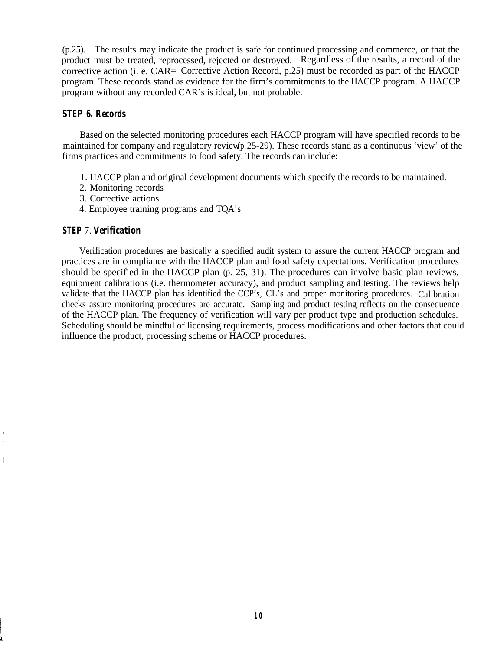(p.25). The results may indicate the product is safe for continued processing and commerce, or that the product must be treated, reprocessed, rejected or destroyed. Regardless of the results, a record of the corrective action (i. e.  $CAR=$  Corrective Action Record, p.25) must be recorded as part of the HACCP program. These records stand as evidence for the firm's commitments to the HACCP program. A HACCP program without any recorded CAR's is ideal, but not probable.

#### *STEP 6. Records*

Based on the selected monitoring procedures each HACCP program will have specified records to be maintained for company and regulatory review (p. 25-29). These records stand as a continuous 'view' of the firms practices and commitments to food safety. The records can include:

- 1. HACCP plan and original development documents which specify the records to be maintained.
- 2. Monitoring records
- 3. Corrective actions
- 4. Employee training programs and TQA's

#### *STEP* 7. *Verification*

Verification procedures are basically a specified audit system to assure the current HACCP program and practices are in compliance with the HACCP plan and food safety expectations. Verification procedures should be specified in the HACCP plan (p. 25, 31). The procedures can involve basic plan reviews, equipment calibrations (i.e. thermometer accuracy), and product sampling and testing. The reviews help validate that the HACCP plan has identified the CCP's, CL's and proper monitoring procedures. Calibration checks assure monitoring procedures are accurate. Sampling and product testing reflects on the consequence of the HACCP plan. The frequency of verification will vary per product type and production schedules. Scheduling should be mindful of licensing requirements, process modifications and other factors that could influence the product, processing scheme or HACCP procedures.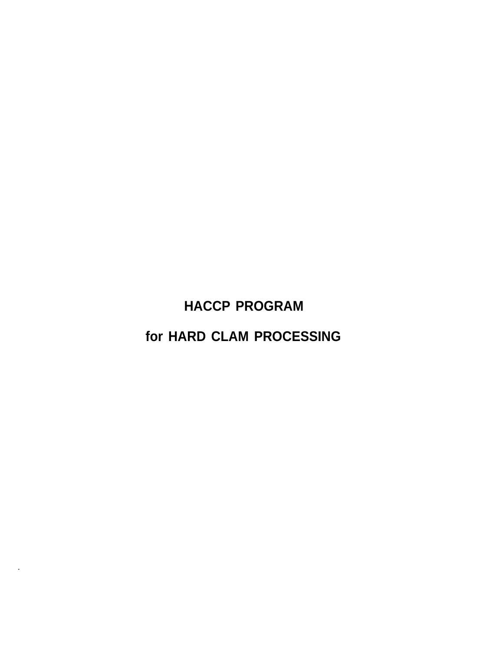**HACCP PROGRAM**

**for HARD CLAM PROCESSING**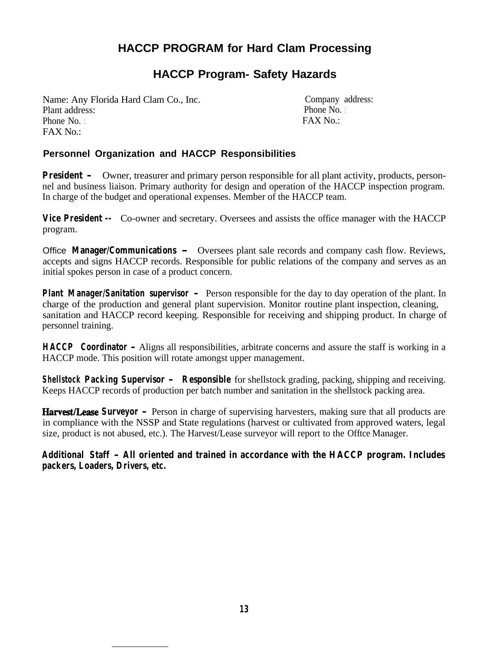## **HACCP PROGRAM for Hard Clam Processing**

## **HACCP Program- Safety Hazards**

Name: Any Florida Hard Clam Co., Inc. Plant address: Phone No.:  $FAX No:$ 

Company address: Phone No. :  $FAX No.$ 

#### **Personnel Organization and HACCP Responsibilities**

**President -** Owner, treasurer and primary person responsible for all plant activity, products, personnel and business liaison. Primary authority for design and operation of the HACCP inspection program. In charge of the budget and operational expenses. Member of the HACCP team.

**Vice President --** Co-owner and secretary. Oversees and assists the office manager with the HACCP program.

Office **Manager/Communications -** Oversees plant sale records and company cash flow. Reviews, accepts and signs HACCP records. Responsible for public relations of the company and serves as an initial spokes person in case of a product concern.

**Plant Manager/Sanitation supervisor -** Person responsible for the day to day operation of the plant. In charge of the production and general plant supervision. Monitor routine plant inspection, cleaning, sanitation and HACCP record keeping. Responsible for receiving and shipping product. In charge of personnel training.

**HACCP Coordinator -** Aligns all responsibilities, arbitrate concerns and assure the staff is working in a HACCP mode. This position will rotate amongst upper management.

**Shellstock Packing Supervisor - Responsible** for shellstock grading, packing, shipping and receiving. Keeps HACCP records of production per batch number and sanitation in the shellstock packing area.

**Harvest/LeaseSurveyor -** Person in charge of supervising harvesters, making sure that all products are in compliance with the NSSP and State regulations (harvest or cultivated from approved waters, legal size, product is not abused, etc.). The Harvest/Lease surveyor will report to the Offtce Manager.

**Additional Staff - All oriented and trained in accordance with the HACCP program. Includes packers, Loaders, Drivers, etc.**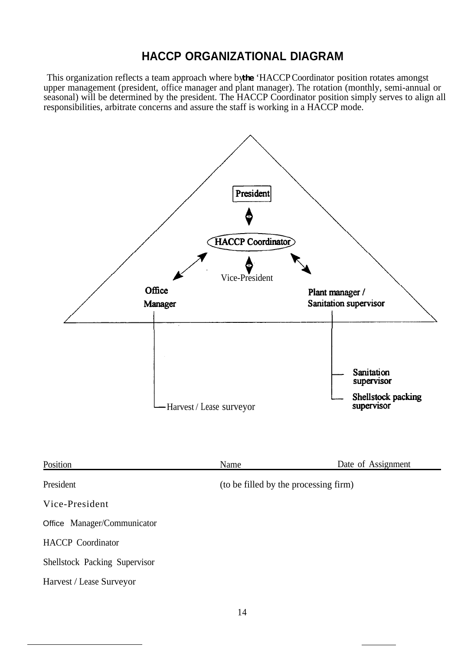## **HACCP ORGANIZATIONAL DIAGRAM**

This organization reflects a team approach where by the 'HACCP Coordinator position rotates amongst upper management (president, office manager and plant manager). The rotation (monthly, semi-annual or seasonal) will be determined by the president. The HACCP Coordinator position simply serves to align all responsibilities, arbitrate concerns and assure the staff is working in a HACCP mode.



| Position                      | Name                                  | Date of Assignment |
|-------------------------------|---------------------------------------|--------------------|
| President                     | (to be filled by the processing firm) |                    |
| Vice-President                |                                       |                    |
| Office Manager/Communicator   |                                       |                    |
| <b>HACCP</b> Coordinator      |                                       |                    |
| Shellstock Packing Supervisor |                                       |                    |
| Harvest / Lease Surveyor      |                                       |                    |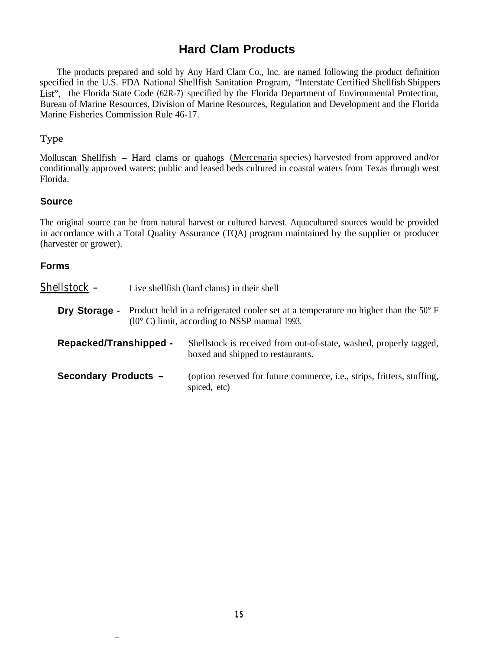## **Hard Clam Products**

The products prepared and sold by Any Hard Clam Co., Inc. are named following the product definition specified in the U.S. FDA National Shellfish Sanitation Program, "Interstate Certified Shellfish Shippers List", the Florida State Code (62R-7) specified by the Florida Department of Environmental Protection, Bureau of Marine Resources, Division of Marine Resources, Regulation and Development and the Florida Marine Fisheries Commission Rule 46-17.

#### Type

Molluscan Shellfish - Hard clams or quahogs (Mercenaria species) harvested from approved and/or conditionally approved waters; public and leased beds cultured in coastal waters from Texas through west Florida.

#### **Source**

The original source can be from natural harvest or cultured harvest. Aquacultured sources would be provided in accordance with a Total Quality Assurance (TQA) program maintained by the supplier or producer (harvester or grower).

#### **Forms**

| Shellstock -           | Live shell fish (hard clams) in their shell                                                                                                           |
|------------------------|-------------------------------------------------------------------------------------------------------------------------------------------------------|
| Dry Storage -          | Product held in a refrigerated cooler set at a temperature no higher than the 50° F<br>$(10^{\circ} \text{ C})$ limit, according to NSSP manual 1993. |
| Repacked/Transhipped - | Shellstock is received from out-of-state, washed, properly tagged,<br>boxed and shipped to restaurants.                                               |
| Secondary Products -   | (option reserved for future commerce, <i>i.e.</i> , <i>strips</i> , <i>fritters</i> , <i>stuffing</i> ,<br>spiced, etc)                               |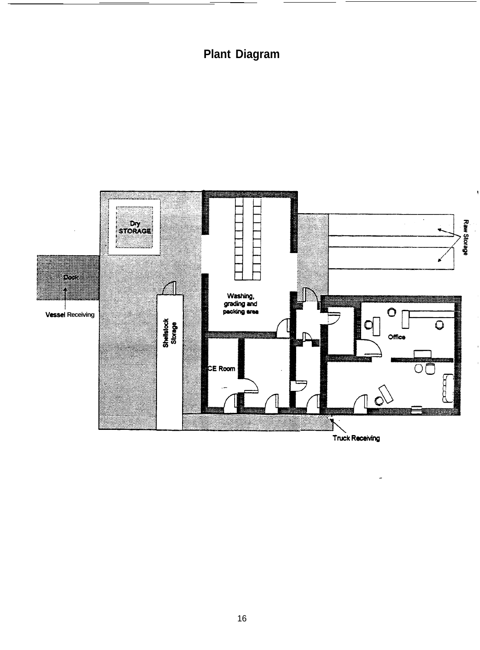## **Plant Diagram**



16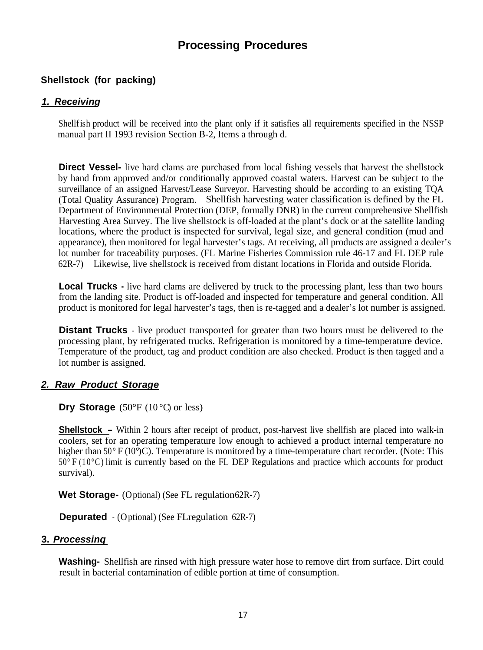## **Processing Procedures**

#### **Shellstock (for packing)**

#### *1. Receiving*

Shellfish product will be received into the plant only if it satisfies all requirements specified in the NSSP manual part II 1993 revision Section B-2, Items a through d.

**Direct Vessel-** live hard clams are purchased from local fishing vessels that harvest the shellstock by hand from approved and/or conditionally approved coastal waters. Harvest can be subject to the surveillance of an assigned Harvest/Lease Surveyor. Harvesting should be according to an existing TQA (Total Quality Assurance) Program. Shellfish harvesting water classification is defined by the FL Department of Environmental Protection (DEP, formally DNR) in the current comprehensive Shellfish Harvesting Area Survey. The live shellstock is off-loaded at the plant's dock or at the satellite landing locations, where the product is inspected for survival, legal size, and general condition (mud and appearance), then monitored for legal harvester's tags. At receiving, all products are assigned a dealer's lot number for traceability purposes. (FL Marine Fisheries Commission rule 46-17 and FL DEP rule 62R-7). Likewise, live shellstock is received from distant locations in Florida and outside Florida.

**Local Trucks -** live hard clams are delivered by truck to the processing plant, less than two hours from the landing site. Product is off-loaded and inspected for temperature and general condition. All product is monitored for legal harvester's tags, then is re-tagged and a dealer's lot number is assigned.

**Distant Trucks** - live product transported for greater than two hours must be delivered to the processing plant, by refrigerated trucks. Refrigeration is monitored by a time-temperature device. Temperature of the product, tag and product condition are also checked. Product is then tagged and a lot number is assigned.

#### *2. Raw Product Storage*

**Dry Storage** (50°F (10°C) or less)

**Shellstock –** Within 2 hours after receipt of product, post-harvest live shellfish are placed into walk-in coolers, set for an operating temperature low enough to achieved a product internal temperature no higher than 50° F (10°)C). Temperature is monitored by a time-temperature chart recorder. (Note: This 50° F (10°C) limit is currently based on the FL DEP Regulations and practice which accounts for product survival).

Wet Storage- (Optional) (See FL regulation 62R-7)

**Depurated** - (Optional) (See FLregulation 62R-7)

#### **3.** *Processinq*

**Washing-** Shellfish are rinsed with high pressure water hose to remove dirt from surface. Dirt could result in bacterial contamination of edible portion at time of consumption.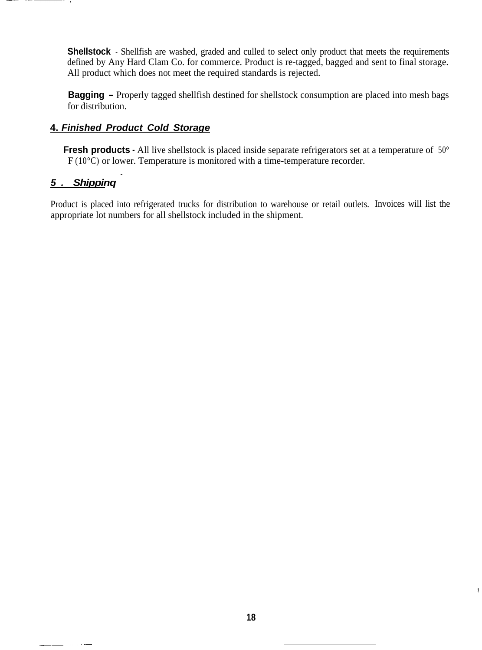**Shellstock** - Shellfish are washed, graded and culled to select only product that meets the requirements defined by Any Hard Clam Co. for commerce. Product is re-tagged, bagged and sent to final storage. All product which does not meet the required standards is rejected.

**Bagging –** Properly tagged shellfish destined for shellstock consumption are placed into mesh bags for distribution.

#### **4.** *Finished Product Cold Storage*

**Fresh products -** All live shellstock is placed inside separate refrigerators set at a temperature of 50° F (10°C) or lower. Temperature is monitored with a time-temperature recorder.

#### *5. Shippinq* \_

Product is placed into refrigerated trucks for distribution to warehouse or retail outlets. Invoices will list the appropriate lot numbers for all shellstock included in the shipment.

 $\overline{1}$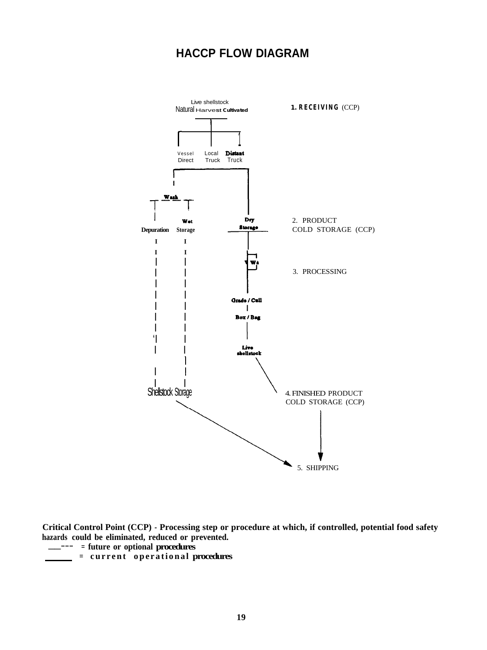## **HACCP FLOW DIAGRAM**



**Critical Control Point (CCP) - Processing step or procedure at which, if controlled, potential food safety hazards could be eliminated, reduced or prevented. \_\_--- = future or optional procedures**

- 
- **= current operational procedures**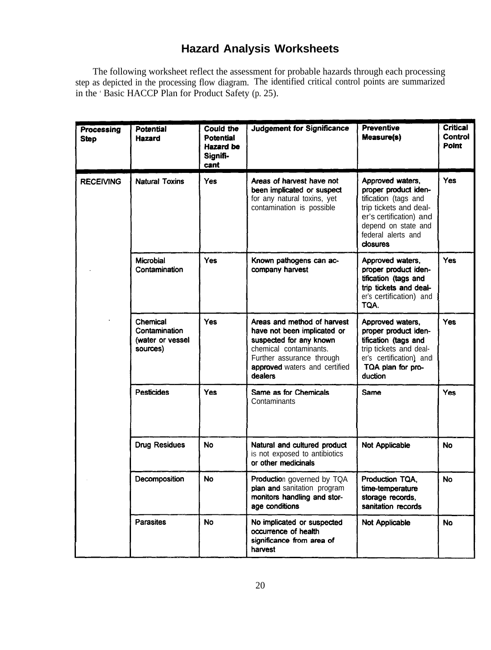## **Hazard Analysis Worksheets**

The following worksheet reflect the assessment for probable hazards through each processing step as depicted in the processing flow diagram. The identified critical control points are summarized in the ' Basic HACCP Plan for Product Safety (p. 25).

| <b>Processing</b><br><b>Step</b> | Potential<br><b>Hazard</b>                                | Could the<br>Potential<br>Hazard be<br>Signifi-<br>cant | <b>Judgement for Significance</b>                                                                                                                                                        | <b>Preventive</b><br><b>Measure(s)</b>                                                                                                                                                | Critical<br>Control<br><b>Point</b> |
|----------------------------------|-----------------------------------------------------------|---------------------------------------------------------|------------------------------------------------------------------------------------------------------------------------------------------------------------------------------------------|---------------------------------------------------------------------------------------------------------------------------------------------------------------------------------------|-------------------------------------|
| <b>RECEIVING</b>                 | <b>Natural Toxins</b>                                     | Yes                                                     | Areas of harvest have not<br>been implicated or suspect<br>for any natural toxins, yet<br>contamination is possible                                                                      | Approved waters,<br>proper product iden-<br>tification (tags and<br>trip tickets and deal-<br>er's certification) and<br>depend on state and<br>federal alerts and<br><b>closures</b> | <b>Yes</b>                          |
|                                  | <b>Microbial</b><br>Contamination                         | <b>Yes</b>                                              | Known pathogens can ac-<br>company harvest                                                                                                                                               | Approved waters,<br>proper product iden-<br>tification (tags and<br>trip tickets and deal-<br>er's certification) and<br>TQA.                                                         | <b>Yes</b>                          |
|                                  | Chemical<br>Contamination<br>(water or vessel<br>sources) | <b>Yes</b>                                              | Areas and method of harvest<br>have not been implicated or<br>suspected for any known<br>chemical contaminants.<br>Further assurance through<br>approved waters and certified<br>dealers | Approved waters,<br>proper product iden-<br>tification (tags and<br>trip tickets and deal-<br>er's certification) and<br>TQA plan for pro-<br>duction                                 | Yes                                 |
|                                  | <b>Pesticides</b>                                         | Yes                                                     | Same as for Chemicals<br>Contaminants                                                                                                                                                    | Same                                                                                                                                                                                  | Yes                                 |
|                                  | <b>Drug Residues</b>                                      | No                                                      | Natural and cultured product<br>is not exposed to antibiotics<br>or other medicinals                                                                                                     | <b>Not Applicable</b>                                                                                                                                                                 | <b>No</b>                           |
|                                  | Decomposition                                             | <b>No</b>                                               | <b>Production governed by TQA</b><br>plan and sanitation program<br>monitors handling and stor-<br>age conditions                                                                        | Production TQA.<br>time-temperature<br>storage records,<br>sanitation records                                                                                                         | <b>No</b>                           |
|                                  | <b>Parasites</b>                                          | No                                                      | No implicated or suspected<br>occurrence of health<br>significance from area of<br>harvest                                                                                               | Not Applicable                                                                                                                                                                        | No                                  |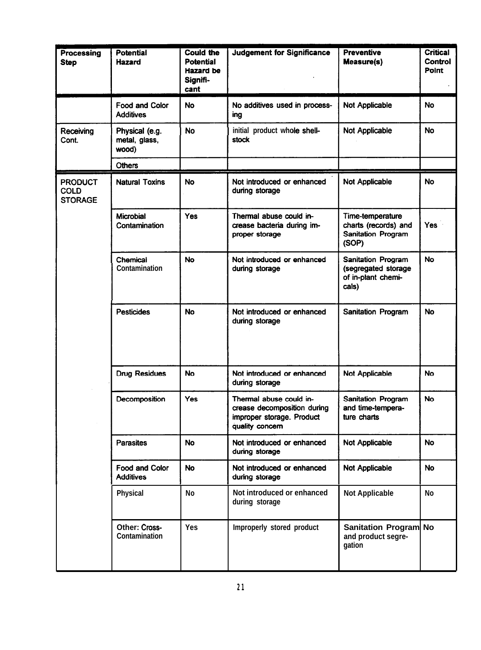| Processing<br><b>Step</b>                       | <b>Potential</b><br>Hazard                | <b>Could the</b><br><b>Potential</b><br><b>Hazard</b> be<br>Signifi-<br>cant | <b>Judgement for Significance</b>                                                                      | <b>Preventive</b><br>Measure(s)                                                | <b>Critical</b><br>Control<br>Point |
|-------------------------------------------------|-------------------------------------------|------------------------------------------------------------------------------|--------------------------------------------------------------------------------------------------------|--------------------------------------------------------------------------------|-------------------------------------|
|                                                 | <b>Food and Color</b><br><b>Additives</b> | <b>No</b>                                                                    | No additives used in process-<br>ing                                                                   | <b>Not Applicable</b>                                                          | <b>No</b>                           |
| Receiving<br>Cont.                              | Physical (e.g.<br>metal, glass,<br>wood)  | <b>No</b>                                                                    | initial product whole shell-<br>stock                                                                  | <b>Not Applicable</b>                                                          | <b>No</b>                           |
|                                                 | <b>Others</b>                             |                                                                              |                                                                                                        |                                                                                |                                     |
| <b>PRODUCT</b><br><b>COLD</b><br><b>STORAGE</b> | <b>Natural Toxins</b>                     | <b>No</b>                                                                    | Not introduced or enhanced<br>during storage                                                           | <b>Not Applicable</b>                                                          | <b>No</b>                           |
|                                                 | Microbial<br>Contamination                | Yes                                                                          | Thermal abuse could in-<br>crease bacteria during im-<br>proper storage                                | Time-temperature<br>charts (records) and<br><b>Sanitation Program</b><br>(SOP) | <b>Yes</b>                          |
|                                                 | Chemical<br>Contamination                 | <b>No</b>                                                                    | Not introduced or enhanced<br>during storage                                                           | Sanitation Program<br>(segregated storage<br>of in-plant chemi-<br>cals)       | <b>No</b>                           |
|                                                 | <b>Pesticides</b>                         | <b>No</b>                                                                    | Not introduced or enhanced<br>during storage                                                           | Sanitation Program                                                             | <b>No</b>                           |
|                                                 | <b>Drug Residues</b>                      | <b>No</b>                                                                    | Not introduced or enhanced<br>during storage                                                           | <b>Not Applicable</b>                                                          | <b>No</b>                           |
|                                                 | Decomposition                             | Yes                                                                          | Thermal abuse could in-<br>crease decomposition during<br>improper storage. Product<br>quality concern | <b>Sanitation Program</b><br>and time-tempera-<br>ture charts                  | <b>No</b>                           |
|                                                 | <b>Parasites</b>                          | <b>No</b>                                                                    | Not introduced or enhanced<br>during storage                                                           | Not Applicable                                                                 | <b>No</b>                           |
|                                                 | Food and Color<br><b>Additives</b>        | <b>No</b>                                                                    | Not introduced or enhanced<br>during storage                                                           | <b>Not Applicable</b>                                                          | <b>No</b>                           |
|                                                 | <b>Physical</b>                           | <b>No</b>                                                                    | Not introduced or enhanced<br>during storage                                                           | <b>Not Applicable</b>                                                          | No                                  |
|                                                 | Other: Cross-<br>Contamination            | Yes                                                                          | Improperly stored product                                                                              | Sanitation Program No<br>and product segre-<br>gation                          |                                     |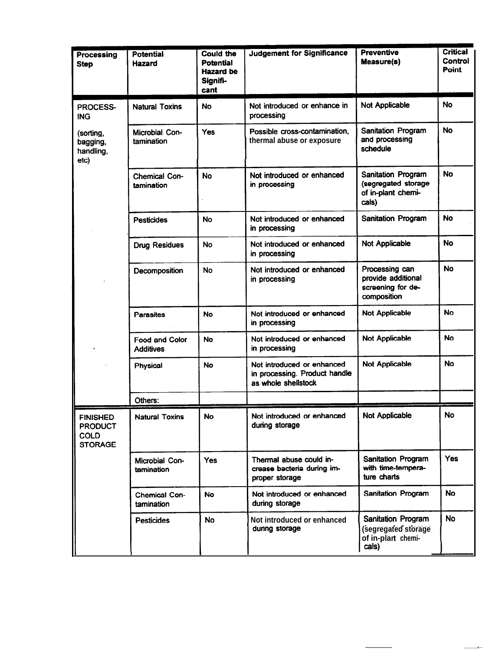| <b>Processing</b><br><b>Step</b>                            | <b>Potential</b><br><b>Hazard</b>         | <b>Could the</b><br>Potential<br>Hazard be<br>Signifi-<br>cant | <b>Judgement for Significance</b>                                                  | <b>Preventive</b><br><b>Measure(s)</b>                                   | <b>Critical</b><br>Control<br><b>Point</b> |
|-------------------------------------------------------------|-------------------------------------------|----------------------------------------------------------------|------------------------------------------------------------------------------------|--------------------------------------------------------------------------|--------------------------------------------|
| PROCESS-<br>ING.                                            | <b>Natural Toxins</b>                     | No                                                             | Not introduced or enhance in<br>processing                                         | <b>Not Applicable</b>                                                    | <b>No</b>                                  |
| (sorting,<br>bagging,<br>handling,<br>etc)                  | Microbial Con-<br>tamination              | <b>Yes</b>                                                     | Possible cross-contamination,<br>thermal abuse or exposure                         | Sanitation Program<br>and processing<br>schedule                         |                                            |
|                                                             | <b>Chemical Con-</b><br>tamination        | <b>No</b>                                                      | Not introduced or enhanced<br>in processing                                        | Sanitation Program<br>(segregated storage<br>of in-plant chemi-<br>cals) | <b>No</b>                                  |
|                                                             | <b>Pesticides</b>                         | No                                                             | Not introduced or enhanced<br>in processing                                        | Sanitation Program                                                       | <b>No</b>                                  |
|                                                             | <b>Drug Residues</b>                      | <b>No</b>                                                      | Not introduced or enhanced<br>in processing                                        | <b>Not Applicable</b>                                                    | <b>No</b>                                  |
|                                                             | Decomposition                             | <b>No</b>                                                      | Not introduced or enhanced<br>in processing                                        | Processing can<br>provide additional<br>screening for de-<br>composition | <b>No</b>                                  |
|                                                             | Parasites                                 | No                                                             | Not introduced or enhanced<br>in processing                                        | Not Applicable                                                           | No                                         |
|                                                             | <b>Food and Color</b><br><b>Additives</b> | <b>No</b>                                                      | Not introduced or enhanced<br>in processing                                        | <b>Not Applicable</b>                                                    | No                                         |
|                                                             | Physical                                  | No                                                             | Not introduced or enhanced<br>in processing. Product handle<br>as whole shellstock | Not Applicable                                                           | No                                         |
|                                                             | Others:                                   |                                                                |                                                                                    |                                                                          |                                            |
| FINISHED<br><b>PRODUCT</b><br><b>COLD</b><br><b>STORAGE</b> | <b>Natural Toxins</b>                     | <b>No</b>                                                      | Not introduced or enhanced<br>during storage                                       | Not Applicable                                                           | No.                                        |
|                                                             | Microbial Con-<br>tamination              | <b>Yes</b>                                                     | Thermal abuse could in-<br>crease bacteria during im-<br>proper storage            | Sanitation Program<br>with time-tempera-<br>ture charts                  | Yes                                        |
|                                                             | Chemical Con-<br>tamination               | <b>No</b>                                                      | Not introduced or enhanced<br>during storage                                       | Sanitation Program                                                       | <b>No</b>                                  |
|                                                             | <b>Pesticides</b>                         | <b>No</b>                                                      | Not introduced or enhanced<br>during storage                                       | Sanitation Program<br>(segregated storage<br>of in-plart chemi-<br>cals) | <b>No</b>                                  |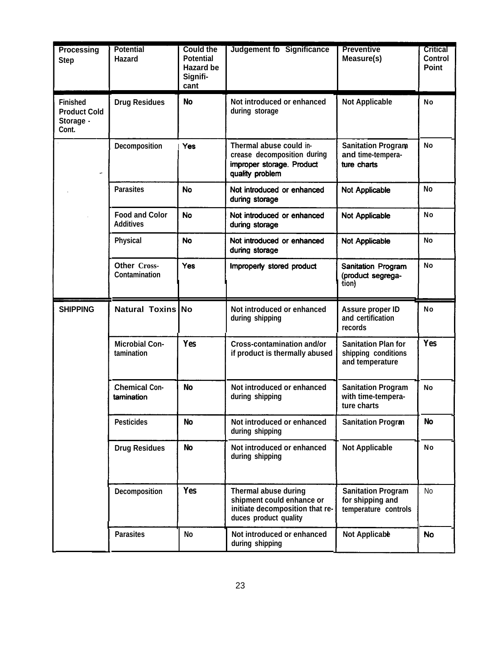| Processing<br><b>Step</b>                                    | <b>Potential</b><br>Hazard                | <b>Could the</b><br><b>Potential</b><br>Hazard be<br>Signifi-<br>cant | <b>Judgement fo Significance</b>                                                                              | <b>Preventive</b><br>Measure(s)                                       | <b>Critical</b><br>Control<br><b>Point</b> |
|--------------------------------------------------------------|-------------------------------------------|-----------------------------------------------------------------------|---------------------------------------------------------------------------------------------------------------|-----------------------------------------------------------------------|--------------------------------------------|
| <b>Finished</b><br><b>Product Cold</b><br>Storage -<br>Cont. | <b>Drug Residues</b>                      | No                                                                    | Not introduced or enhanced<br>during storage                                                                  | <b>Not Applicable</b>                                                 | No                                         |
|                                                              | Decomposition                             | <b>Yes</b>                                                            | Thermal abuse could in-<br>crease decomposition during<br>improper storage. Product<br>quality problem        | <b>Sanitation Program</b><br>and time-tempera-<br>ture charts         | No                                         |
|                                                              | <b>Parasites</b>                          | <b>No</b>                                                             | Not introduced or enhanced<br>during storage                                                                  | <b>Not Applicable</b>                                                 | <b>No</b>                                  |
|                                                              | <b>Food and Color</b><br><b>Additives</b> | <b>No</b>                                                             | Not introduced or enhanced<br>during storage                                                                  | <b>Not Applicable</b>                                                 | No                                         |
|                                                              | <b>Physical</b>                           | <b>No</b>                                                             | Not introduced or enhanced<br>during storage                                                                  | <b>Not Applicable</b>                                                 | No                                         |
|                                                              | Other Cross-<br><b>Contamination</b>      | <b>Yes</b>                                                            | Improperly stored product                                                                                     | Sanitation Program<br>(product segrega-<br>tion)                      | No                                         |
|                                                              |                                           |                                                                       |                                                                                                               |                                                                       |                                            |
| <b>SHIPPING</b>                                              | Natural Toxins No                         |                                                                       | Not introduced or enhanced<br>during shipping                                                                 | Assure proper ID<br>and certification<br>records                      | No                                         |
|                                                              | <b>Microbial Con-</b><br>tamination       | <b>Yes</b>                                                            | <b>Cross-contamination and/or</b><br>if product is thermally abused                                           | <b>Sanitation Plan for</b><br>shipping conditions<br>and temperature  | Yes                                        |
|                                                              | <b>Chemical Con-</b><br>tamination        | <b>No</b>                                                             | Not introduced or enhanced<br>during shipping                                                                 | <b>Sanitation Program</b><br>with time-tempera-<br>ture charts        | No                                         |
|                                                              | <b>Pesticides</b>                         | No                                                                    | Not introduced or enhanced<br>during shipping                                                                 | <b>Sanitation Progran</b>                                             | <b>No</b>                                  |
|                                                              | <b>Drug Residues</b>                      | No                                                                    | Not introduced or enhanced<br>during shipping                                                                 | <b>Not Applicable</b>                                                 | No                                         |
|                                                              | Decomposition                             | <b>Yes</b>                                                            | Thermal abuse during<br>shipment could enhance or<br>initiate decomposition that re-<br>duces product quality | <b>Sanitation Program</b><br>for shipping and<br>temperature controls | <b>No</b>                                  |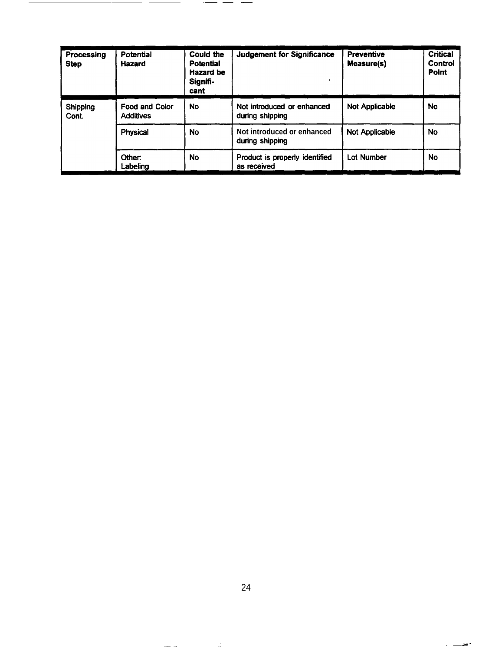| Processing<br><b>Step</b> | Potential<br><b>Hazard</b>                | Could the<br><b>Potential</b><br>Hazard be<br>Signifi-<br>cant | <b>Judgement for Significance</b>             | <b>Preventive</b><br>Measure(s) | Critical<br>Control<br>Point |
|---------------------------|-------------------------------------------|----------------------------------------------------------------|-----------------------------------------------|---------------------------------|------------------------------|
| Shipping<br>Cont.         | <b>Food and Color</b><br><b>Additives</b> | No                                                             | Not introduced or enhanced<br>during shipping | <b>Not Applicable</b>           | No                           |
|                           | <b>Physical</b>                           | <b>No</b>                                                      | Not introduced or enhanced<br>during shipping | <b>Not Applicable</b>           | <b>No</b>                    |
|                           | Other:<br>Labeling                        | <b>No</b>                                                      | Product is properly identified<br>as received | <b>Lot Number</b>               | <b>No</b>                    |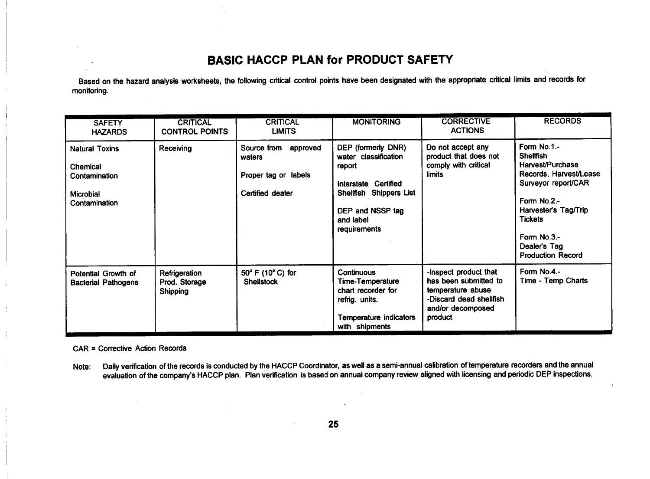### **BASIC HACCP PLAN for PRODUCT SAFETY**

Based on the hazard analysis worksheets, the following critical control points have been designated with the appropriate critical limits and records for monitoring.

| <b>SAFETY</b><br><b>HAZARDS</b>                                                         | <b>CRITICAL</b><br><b>CONTROL POINTS</b>          | <b>CRITICAL</b><br><b>LIMITS</b>                                              | <b>MONITORING</b>                                                                                                                                        | <b>CORRECTIVE</b><br><b>ACTIONS</b>                                                                                            | <b>RECORDS</b>                                                                                                                                                                                                           |
|-----------------------------------------------------------------------------------------|---------------------------------------------------|-------------------------------------------------------------------------------|----------------------------------------------------------------------------------------------------------------------------------------------------------|--------------------------------------------------------------------------------------------------------------------------------|--------------------------------------------------------------------------------------------------------------------------------------------------------------------------------------------------------------------------|
| <b>Natural Toxins</b><br>Chemical<br>Contamination<br><b>Microbial</b><br>Contamination | Receiving                                         | Source from<br>approved<br>waters<br>Proper tag or labels<br>Certified dealer | DEP (formerly DNR)<br>water classification<br>report<br>Interstate Certified<br>Shellfish Shippers List<br>DEP and NSSP tag<br>and label<br>requirements | Do not accept any<br>product that does not<br>comply with critical<br>limits                                                   | Form No.1.-<br><b>Shellfish</b><br>Harvest/Purchase<br>Records, Harvest/Lease<br>Surveyor report/CAR<br>Form No.2.-<br>Harvester's Tag/Trip<br><b>Tickets</b><br>Form No.3.-<br>Dealer's Tag<br><b>Production Record</b> |
| Potential Growth of<br><b>Bacterial Pathogens</b>                                       | Refrigeration<br>Prod. Storage<br><b>Shipping</b> | 50° F (10° C) for<br><b>Shellstock</b>                                        | <b>Continuous</b><br>Time-Temperature<br>chart recorder for<br>refrig. units.<br><b>Temperature indicators</b><br>with shipments                         | -inspect product that<br>has been submitted to<br>temperature abuse<br>-Discard dead shellfish<br>and/or decomposed<br>product | Form No.4.-<br>Time - Temp Charts                                                                                                                                                                                        |

**CAR = Corrective Action Records** 

Daily verification of the records is conducted by the HACCP Coordinator, as well as a semi-annual calibration of temperature recorders and the annual Note: evaluation of the company's HACCP plan. Plan verification is based on annual company review aligned with licensing and periodic DEP inspections.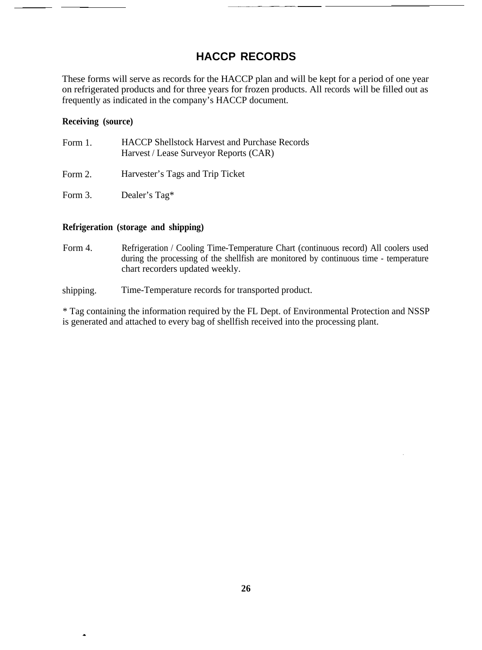## **HACCP RECORDS**

These forms will serve as records for the HACCP plan and will be kept for a period of one year on refrigerated products and for three years for frozen products. All records will be filled out as frequently as indicated in the company's HACCP document.

#### **Receiving (source)**

 $\overline{\phantom{a}}$ 

| Form 1. | <b>HACCP</b> Shellstock Harvest and Purchase Records<br>Harvest / Lease Surveyor Reports (CAR) |
|---------|------------------------------------------------------------------------------------------------|
| Form 2. | Harvester's Tags and Trip Ticket                                                               |
| Form 3. | Dealer's Tag*                                                                                  |

#### **Refrigeration (storage and shipping)**

Form 4. Refrigeration / Cooling Time-Temperature Chart (continuous record) All coolers used during the processing of the shellfish are monitored by continuous time - temperature chart recorders updated weekly.

shipping. Time-Temperature records for transported product.

\* Tag containing the information required by the FL Dept. of Environmental Protection and NSSP is generated and attached to every bag of shellfish received into the processing plant.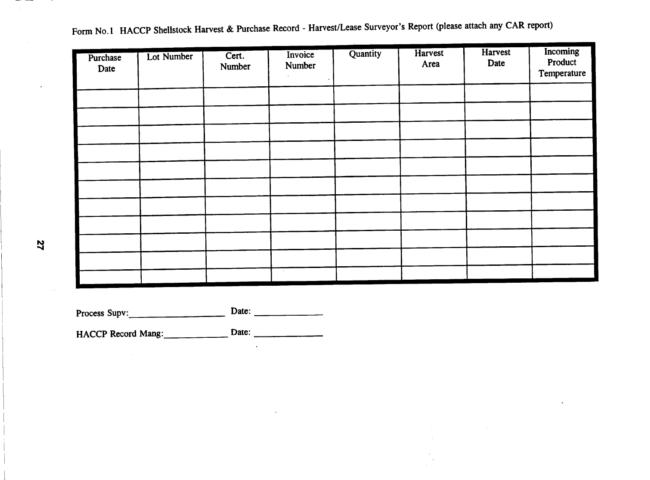Form No.1 HACCP Shellstock Harvest & Purchase Record - Harvest/Lease Surveyor's Report (please attach any CAR report)

| Purchase<br>Date | Lot Number | Cert.<br>Number | Invoice<br>Number | Quantity | Harvest<br>Area | Harvest<br>Date | Incoming<br>Product<br>Temperature |
|------------------|------------|-----------------|-------------------|----------|-----------------|-----------------|------------------------------------|
|                  |            |                 |                   |          |                 |                 |                                    |
|                  |            |                 |                   |          |                 |                 |                                    |
|                  |            |                 |                   |          |                 |                 |                                    |
|                  |            |                 |                   |          |                 |                 |                                    |
|                  |            |                 |                   |          |                 |                 |                                    |
|                  |            |                 |                   |          |                 |                 |                                    |
|                  |            |                 |                   |          |                 |                 |                                    |
|                  |            |                 |                   |          |                 |                 |                                    |
|                  |            |                 |                   |          |                 |                 |                                    |
|                  |            |                 |                   |          |                 |                 |                                    |
|                  |            |                 | $\sim$ $\sim$     |          |                 |                 |                                    |

Process Supv: Date:  $\qquad \qquad$ 

 $\mathbb{R}^2$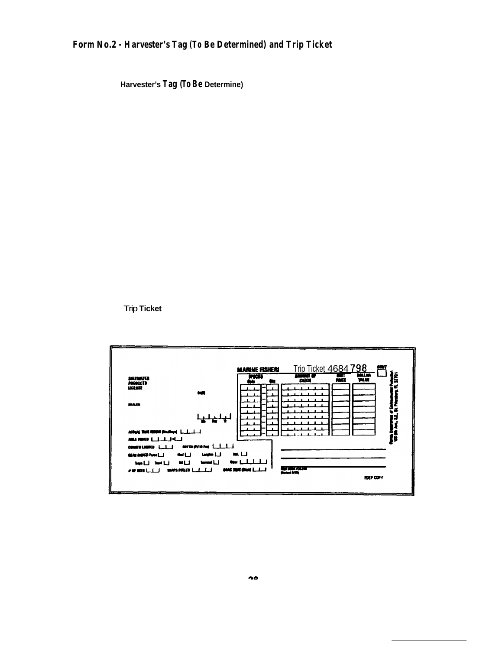### **Form No.2 - Harvester's Tag (To Be Determined) and Trip Ticket**

**Harvester's Tag (To Be Determine)**

Trip **Ticket**

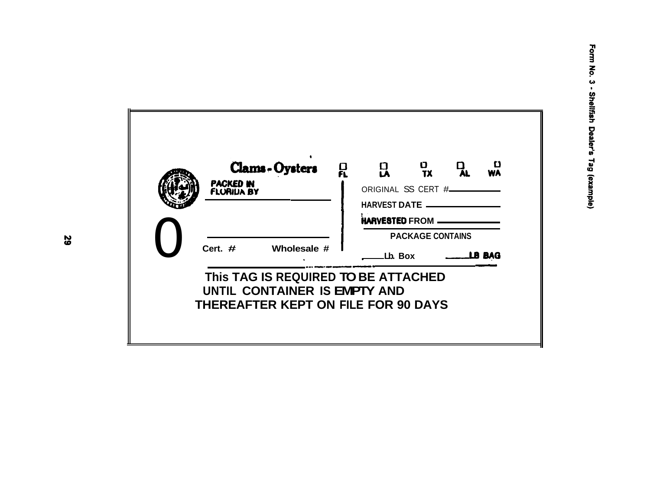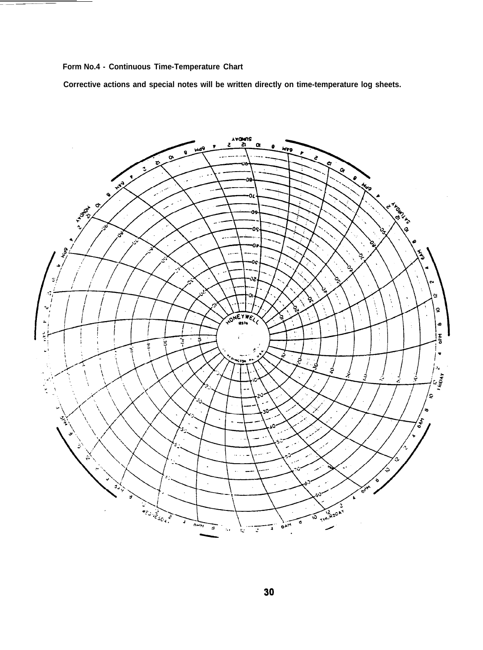**Form No.4 - Continuous Time-Temperature Chart**

**Corrective actions and special notes will be written directly on time-temperature log sheets.**

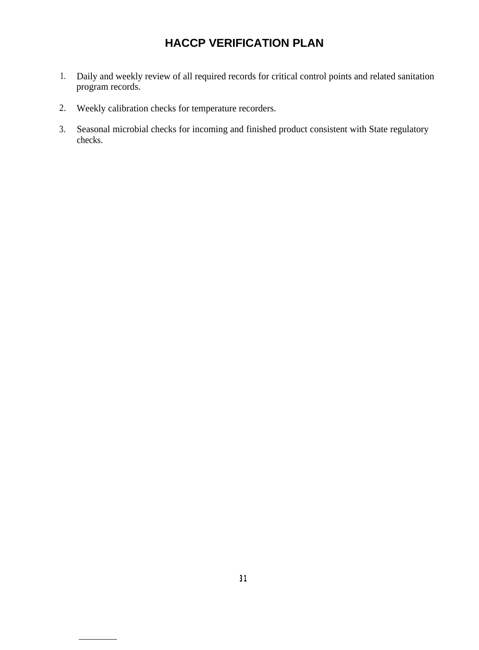## **HACCP VERIFICATION PLAN**

- 1. Daily and weekly review of all required records for critical control points and related sanitation program records.
- 2. Weekly calibration checks for temperature recorders.
- 3. Seasonal microbial checks for incoming and finished product consistent with State regulatory checks.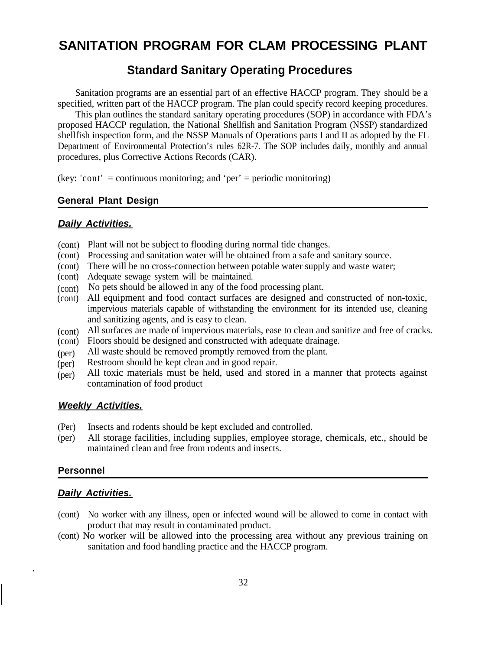## **SANITATION PROGRAM FOR CLAM PROCESSING PLANT**

## **Standard Sanitary Operating Procedures**

Sanitation programs are an essential part of an effective HACCP program. They should be a specified, written part of the HACCP program. The plan could specify record keeping procedures.

This plan outlines the standard sanitary operating procedures (SOP) in accordance with FDA's proposed HACCP regulation, the National Shellfish and Sanitation Program (NSSP) standardized shellfish inspection form, and the NSSP Manuals of Operations parts I and II as adopted by the FL Department of Environmental Protection's rules 62R-7. The SOP includes daily, monthly and annual procedures, plus Corrective Actions Records (CAR).

(key: 'cont' = continuous monitoring; and 'per' = periodic monitoring)

#### **General Plant Design**

#### *Daily Activities.*

- (cont) Plant will not be subject to flooding during normal tide changes.
- (cont) Processing and sanitation water will be obtained from a safe and sanitary source.
- (cont) There will be no cross-connection between potable water supply and waste water;
- (cont) Adequate sewage system will be maintained.
- (cont) No pets should be allowed in any of the food processing plant.
- (cont) All equipment and food contact surfaces are designed and constructed of non-toxic, impervious materials capable of withstanding the environment for its intended use, cleaning and sanitizing agents, and is easy to clean.
- (cont) All surfaces are made of impervious materials, ease to clean and sanitize and free of cracks.
- (cont) Floors should be designed and constructed with adequate drainage.
- (per) All waste should be removed promptly removed from the plant.
- (per) Restroom should be kept clean and in good repair.
- (per) All toxic materials must be held, used and stored in a manner that protects against contamination of food product

#### *Weekly Activities.*

- (Per) Insects and rodents should be kept excluded and controlled.
- (per) All storage facilities, including supplies, employee storage, chemicals, etc., should be maintained clean and free from rodents and insects.

#### **Personnel**

#### *Daily Activities.*

- (cont) No worker with any illness, open or infected wound will be allowed to come in contact with product that may result in contaminated product.
- (cont) No worker will be allowed into the processing area without any previous training on sanitation and food handling practice and the HACCP program.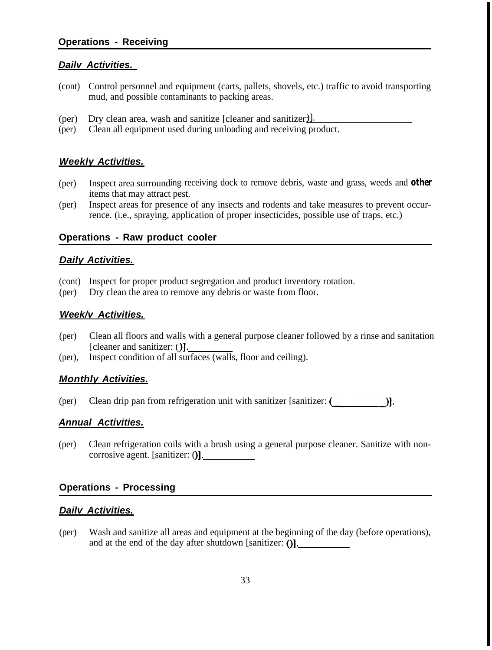#### *Dailv Activities.*

- (cont) Control personnel and equipment (carts, pallets, shovels, etc.) traffic to avoid transporting mud, and possible contaminants to packing areas.
- (per) Dry clean area, wash and sanitize [cleaner and sanitizer].
- (per) Clean all equipment used during unloading and receiving product.

#### *Weekly Activities.*

- (per) Inspect area surrounding receiving dock to remove debris, waste and grass, weeds and *other* items that may attract pest.
- (per) Inspect areas for presence of any insects and rodents and take measures to prevent occurrence. (i.e., spraying, application of proper insecticides, possible use of traps, etc.)

#### **Operations - Raw product cooler**

#### *Daily Activities.*

- (cont) Inspect for proper product segregation and product inventory rotation.
- (per) Dry clean the area to remove any debris or waste from floor.

#### *Week/v Activities.*

- (per) Clean all floors and walls with a general purpose cleaner followed by a rinse and sanitation [cleaner and sanitizer: ()].
- (per), Inspect condition of all surfaces (walls, floor and ceiling).

#### *Monthly Activities.*

(per) Clean drip pan from refrigeration unit with sanitizer [sanitizer: ()].

#### *Annual Activities.*

(per) Clean refrigeration coils with a brush using a general purpose cleaner. Sanitize with noncorrosive agent. [sanitizer: ()].

#### **Operations - Processing**

#### *Dailv Activities.*

(per) Wash and sanitize all areas and equipment at the beginning of the day (before operations), and at the end of the day after shutdown [sanitizer: ()].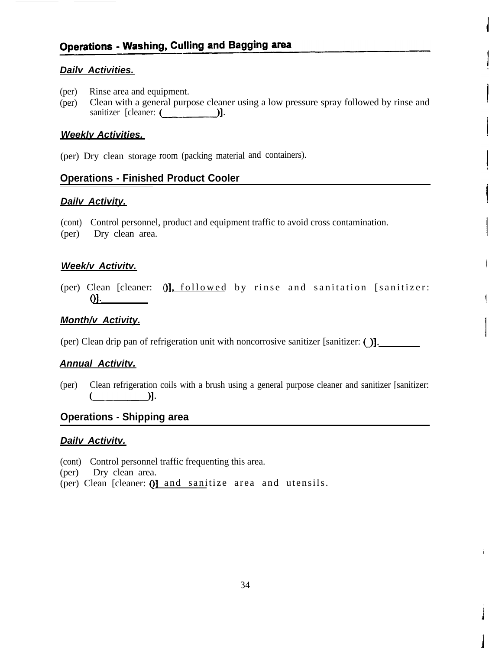#### *Dailv Activities.*

- (per) Rinse area and equipment.
- (per) Clean with a general purpose cleaner using a low pressure spray followed by rinse and sanitizer [cleaner:(\_I-

#### *Weekly Activities.*

(per) Dry clean storage room (packing material and containers).

#### **Operations - Finished Product Cooler**

#### *Dailv Activity.*

(cont) Control personnel, product and equipment traffic to avoid cross contamination.

(per) Dry clean area.

#### *Week/v Activitv.*

(per) Clean [cleaner: 0], followed by rinse and sanitation [sanitizer: <u>()</u>

#### *Month/v Activity.*

(per) Clean drip pan of refrigeration unit with noncorrosive sanitizer [sanitizer: ()I.

#### *Annual Activitv.*

(per) Clean refrigeration coils with a brush using a general purpose cleaner and sanitizer [sanitizer:  $\blacksquare$ )].

### **Operations - Shipping area**

#### *Dailv Activitv.*

(cont) Control personnel traffic frequenting this area.

(per) Dry clean area.

(per) Clean [cleaner: ()] and sanitize area and utensils.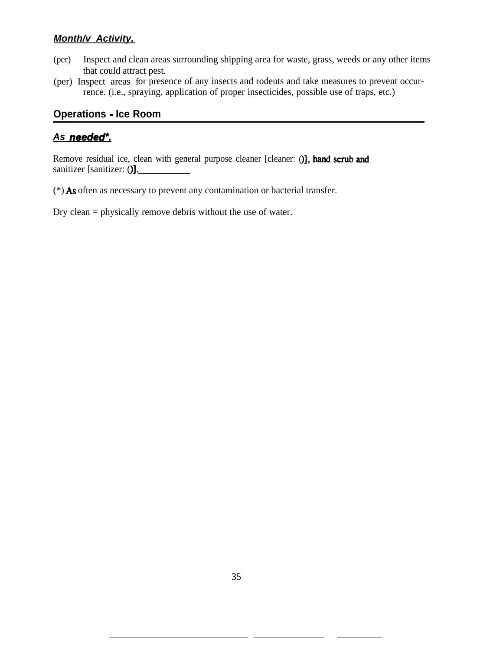### *Month/v Activity.*

- (per) Inspect and clean areas surrounding shipping area for waste, grass, weeds or any other items that could attract pest.
- (per) Inspect areas for presence of any insects and rodents and take measures to prevent occurrence. (i.e., spraying, application of proper insecticides, possible use of traps, etc.)

#### **Operations - Ice Room**

#### *As needed\*.*

Remove residual ice, clean with general purpose cleaner [cleaner: 0], hand scrub and sanitizer [sanitizer: **()]**.

(\*) As often as necessary to prevent any contamination or bacterial transfer.

Dry clean = physically remove debris without the use of water.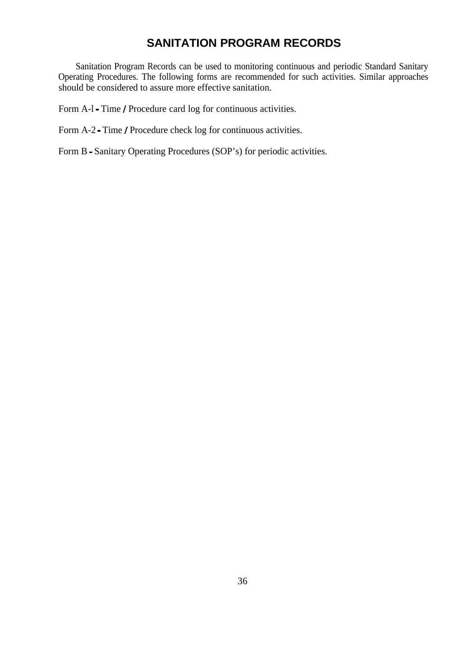## **SANITATION PROGRAM RECORDS**

Sanitation Program Records can be used to monitoring continuous and periodic Standard Sanitary Operating Procedures. The following forms are recommended for such activities. Similar approaches should be considered to assure more effective sanitation.

Form A-l - Time / Procedure card log for continuous activities.

Form A-2 - Time / Procedure check log for continuous activities.

Form B - Sanitary Operating Procedures (SOP's) for periodic activities.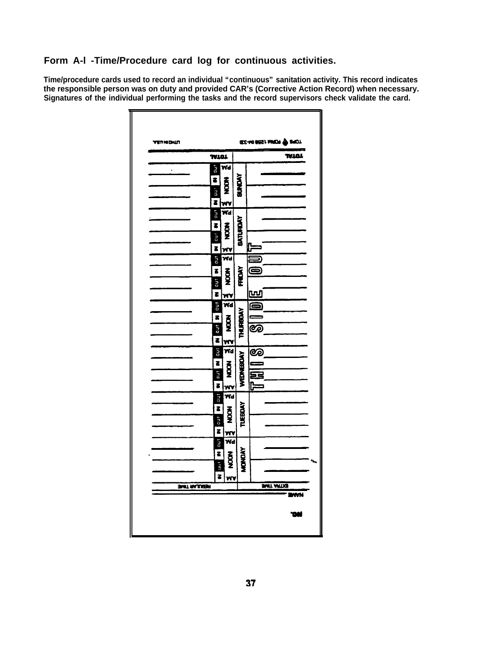#### **Form A-l -Time/Procedure card log for continuous activities.**

**Time/procedure cards used to record an individual "continuous" sanitation activity. This record indicates the responsible person was on duty and provided CAR's (Corrective Action Record) when necessary. Signatures of the individual performing the tasks and the record supervisors check validate the card.**

| <b>ARUNDAN</b>      |                         |                           |                  | IEE-MO BEST MADR @ SADI |                  |
|---------------------|-------------------------|---------------------------|------------------|-------------------------|------------------|
|                     | TVIDI                   |                           |                  |                         | TVJAL            |
|                     | ino                     | Wd                        |                  |                         |                  |
|                     | $\overline{\bullet}$    | $rac{1}{2}$               | BUNDAY           |                         |                  |
|                     | ino                     |                           |                  |                         |                  |
|                     | z                       | w۷                        |                  |                         |                  |
|                     | ino                     | Wd                        |                  |                         |                  |
|                     | z                       | $\frac{2}{2}$             | BATURDAY         |                         |                  |
|                     | 5<br>Dun                |                           |                  |                         |                  |
|                     | Z                       | w٧                        |                  | C<br>Ł                  |                  |
|                     | TLD                     | Wd                        |                  | Ð,                      |                  |
|                     | z                       | Š                         | FRIDAY           | C                       |                  |
|                     | ino                     |                           |                  |                         |                  |
|                     | Z                       | w٧<br>.<br>Wd             |                  | <u>w</u>                |                  |
|                     | T CO                    |                           |                  | ē                       |                  |
|                     | z<br>ă                  | $\tilde{g}$               | <b>THURBOAY</b>  | ಡಾ                      |                  |
|                     | Z                       | w۷                        |                  |                         |                  |
|                     | ino                     | Wd                        |                  | ತಾ                      |                  |
|                     | Z                       |                           |                  |                         |                  |
|                     | nu T                    | <b>ADOM</b>               | <b>WEDNEBOAY</b> | Ξŝ                      |                  |
|                     | Z                       | w۷                        |                  | C                       |                  |
|                     | 1.ho                    | Wd                        |                  |                         |                  |
|                     | Z                       | $\frac{8}{2}$             | TUEBOAY          |                         |                  |
|                     | Fao                     |                           |                  |                         |                  |
|                     | $\overline{\mathbf{z}}$ | <u>WY</u>                 |                  |                         |                  |
|                     | <b>FD</b>               | $\overline{\mathbf{w}}$ d |                  |                         |                  |
|                     | $\overline{\mathbf{z}}$ | <b>SOLU</b>               | <b>MONDAY</b>    |                         |                  |
|                     | E<br>E                  |                           |                  |                         |                  |
| <b>SMIT RAJUERA</b> | Z                       | W٧                        |                  |                         | <b>MIT ARTIG</b> |
|                     |                         |                           |                  |                         | rwN              |
|                     |                         |                           |                  |                         | 'N               |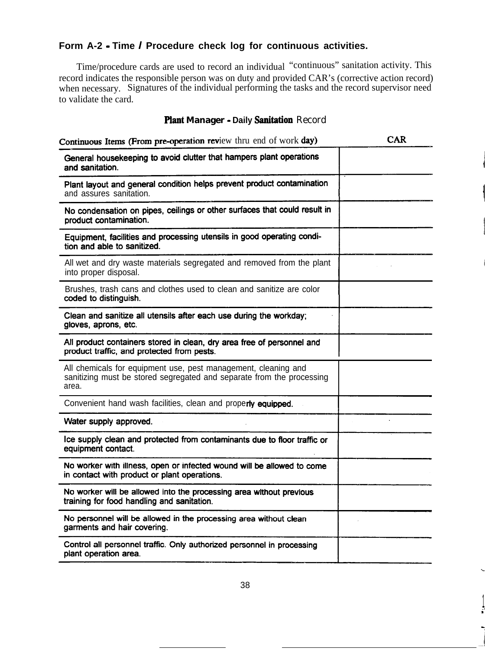#### **Form A-2 - Time I Procedure check log for continuous activities.**

Time/procedure cards are used to record an individual "continuous" sanitation activity. This record indicates the responsible person was on duty and provided CAR's (corrective action record) when necessary. Signatures of the individual performing the tasks and the record supervisor need to validate the card.

#### Plant Manager - Daily Sanitation Record

| Continuous Items (From pre-operation review thru end of work day)                                                                                | CAR |
|--------------------------------------------------------------------------------------------------------------------------------------------------|-----|
| General housekeeping to avoid clutter that hampers plant operations<br>and sanitation.                                                           |     |
| Plant layout and general condition helps prevent product contamination<br>and assures sanitation.                                                |     |
| No condensation on pipes, ceilings or other surfaces that could result in<br>product contamination.                                              |     |
| Equipment, facilities and processing utensils in good operating condi-<br>tion and able to sanitized.                                            |     |
| All wet and dry waste materials segregated and removed from the plant<br>into proper disposal.                                                   |     |
| Brushes, trash cans and clothes used to clean and sanitize are color<br>coded to distinguish.                                                    |     |
| Clean and sanitize all utensils after each use during the workday;<br>gloves, aprons, etc.                                                       |     |
| All product containers stored in clean, dry area free of personnel and<br>product traffic, and protected from pests.                             |     |
| All chemicals for equipment use, pest management, cleaning and<br>sanitizing must be stored segregated and separate from the processing<br>area. |     |
| Convenient hand wash facilities, clean and properly equipped.                                                                                    |     |
| Water supply approved.                                                                                                                           |     |
| Ice supply clean and protected from contaminants due to floor traffic or<br>equipment contact.                                                   |     |
| No worker with illness, open or infected wound will be allowed to come<br>in contact with product or plant operations.                           |     |
| No worker will be allowed into the processing area without previous<br>training for food handling and sanitation.                                |     |
| No personnel will be allowed in the processing area without clean<br>garments and hair covering.                                                 |     |
| Control all personnel traffic. Only authorized personnel in processing<br>plant operation area.                                                  |     |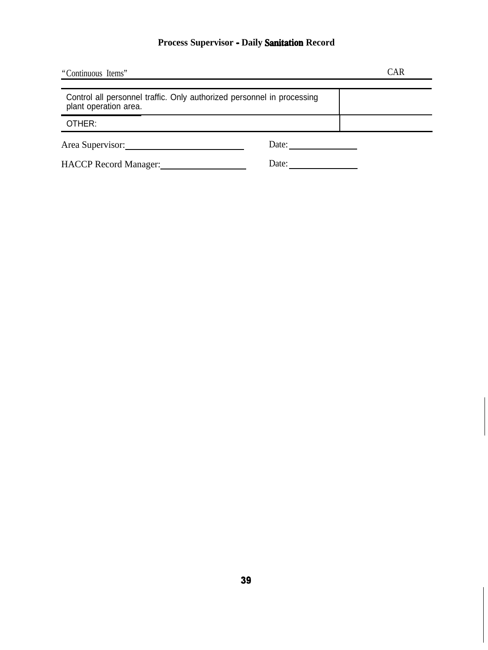## **Process Supervisor - Daily sanitation Record**

| "Continuous Items"                                                                              |       | <b>CAR</b> |
|-------------------------------------------------------------------------------------------------|-------|------------|
| Control all personnel traffic. Only authorized personnel in processing<br>plant operation area. |       |            |
| OTHER:                                                                                          |       |            |
| Area Supervisor:                                                                                | Date: |            |
| <b>HACCP</b> Record Manager:                                                                    | Date: |            |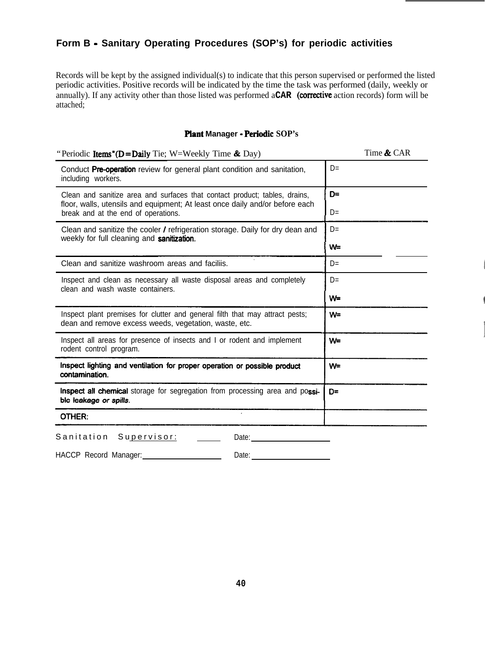#### **Form B - Sanitary Operating Procedures (SOP's) for periodic activities**

Records will be kept by the assigned individual(s) to indicate that this person supervised or performed the listed periodic activities. Positive records will be indicated by the time the task was performed (daily, weekly or annually). If any activity other than those listed was performed a **CAR** (corrective action records) form will be attached;

#### **Plant Manager - PerIodIc SOP's**

| Time & CAR |
|------------|
| $D=$       |
| D≕         |
| $D=$       |
| $D=$       |
| W=         |
| $D=$       |
| $D=$       |
| W=         |
| W=         |
| W=         |
| W=         |
| D=         |
|            |
|            |
|            |

HACCP Record Manager: Date: Date: Date: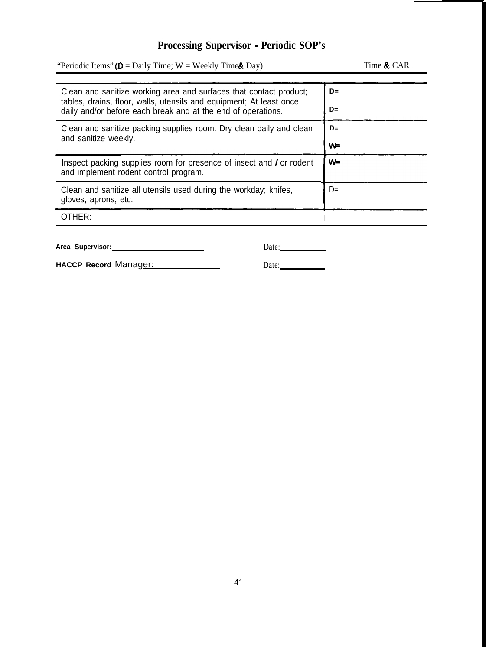#### **Processing Supervisor - Periodic SOP's**

"Periodic Items" ( $D =$  Daily Time;  $W =$  Weekly Time  $\&$  Day) Time  $\&$  CAR Clean and sanitize working area and surfaces that contact product; **D=** tables, drains, floor, walls, utensils and equipment; At least once daily and/or before each break and at the end of operations. **D=** Clean and sanitize packing supplies room. Dry clean daily and clean **D=** and sanitize weekly. **w=** Inspect packing supplies room for presence of insect and / or rodent  $W=$ and implement rodent control program. Clean and sanitize all utensils used during the workday; knifes,  $D=$ gloves, aprons, etc. OTHER: <sup>I</sup>

| Area Supervisor: |  |
|------------------|--|
|                  |  |

| HACCP Record Manager: |  |
|-----------------------|--|
|-----------------------|--|

|--|

Date: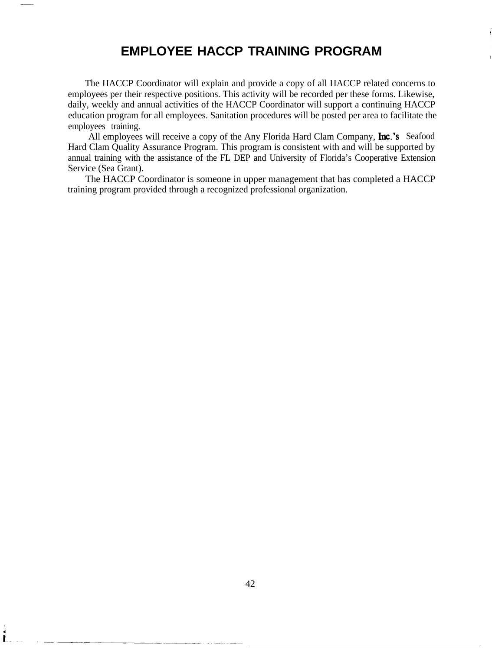## **EMPLOYEE HACCP TRAINING PROGRAM**

The HACCP Coordinator will explain and provide a copy of all HACCP related concerns to employees per their respective positions. This activity will be recorded per these forms. Likewise, daily, weekly and annual activities of the HACCP Coordinator will support a continuing HACCP education program for all employees. Sanitation procedures will be posted per area to facilitate the employees training.

All employees will receive a copy of the Any Florida Hard Clam Company, **Inc.'s** Seafood Hard Clam Quality Assurance Program. This program is consistent with and will be supported by annual training with the assistance of the FL DEP and University of Florida's Cooperative Extension Service (Sea Grant).

The HACCP Coordinator is someone in upper management that has completed a HACCP training program provided through a recognized professional organization.